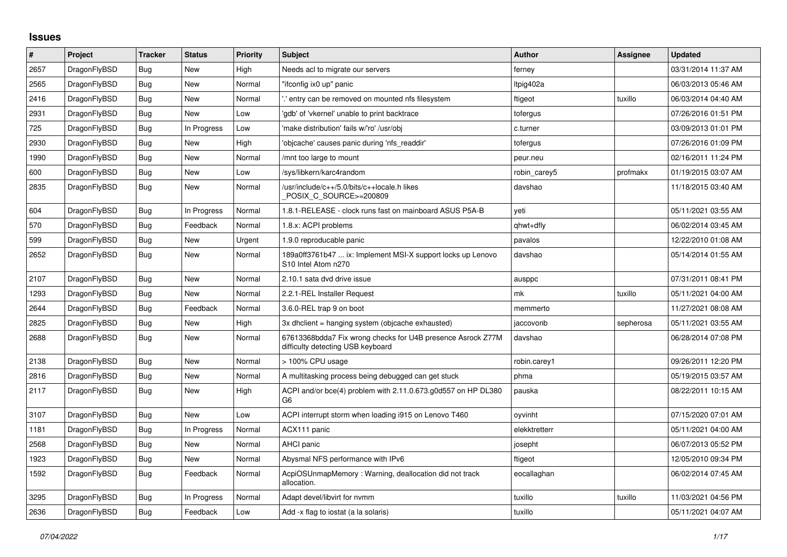## **Issues**

| $\vert$ # | Project      | <b>Tracker</b> | <b>Status</b> | <b>Priority</b> | <b>Subject</b>                                                                                   | <b>Author</b> | Assignee  | <b>Updated</b>      |
|-----------|--------------|----------------|---------------|-----------------|--------------------------------------------------------------------------------------------------|---------------|-----------|---------------------|
| 2657      | DragonFlyBSD | <b>Bug</b>     | <b>New</b>    | High            | Needs acl to migrate our servers                                                                 | ferney        |           | 03/31/2014 11:37 AM |
| 2565      | DragonFlyBSD | Bug            | New           | Normal          | "ifconfig ix0 up" panic                                                                          | Itpig402a     |           | 06/03/2013 05:46 AM |
| 2416      | DragonFlyBSD | Bug            | New           | Normal          | ".' entry can be removed on mounted nfs filesystem                                               | ftigeot       | tuxillo   | 06/03/2014 04:40 AM |
| 2931      | DragonFlyBSD | <b>Bug</b>     | <b>New</b>    | Low             | 'gdb' of 'vkernel' unable to print backtrace                                                     | tofergus      |           | 07/26/2016 01:51 PM |
| 725       | DragonFlyBSD | Bug            | In Progress   | Low             | 'make distribution' fails w/'ro' /usr/obj                                                        | c.turner      |           | 03/09/2013 01:01 PM |
| 2930      | DragonFlyBSD | <b>Bug</b>     | New           | High            | 'objcache' causes panic during 'nfs_readdir'                                                     | tofergus      |           | 07/26/2016 01:09 PM |
| 1990      | DragonFlyBSD | <b>Bug</b>     | New           | Normal          | /mnt too large to mount                                                                          | peur.neu      |           | 02/16/2011 11:24 PM |
| 600       | DragonFlyBSD | Bug            | New           | Low             | /sys/libkern/karc4random                                                                         | robin_carey5  | profmakx  | 01/19/2015 03:07 AM |
| 2835      | DragonFlyBSD | Bug            | New           | Normal          | /usr/include/c++/5.0/bits/c++locale.h likes<br>POSIX C SOURCE>=200809                            | davshao       |           | 11/18/2015 03:40 AM |
| 604       | DragonFlyBSD | Bug            | In Progress   | Normal          | 1.8.1-RELEASE - clock runs fast on mainboard ASUS P5A-B                                          | veti          |           | 05/11/2021 03:55 AM |
| 570       | DragonFlyBSD | <b>Bug</b>     | Feedback      | Normal          | 1.8.x: ACPI problems                                                                             | qhwt+dfly     |           | 06/02/2014 03:45 AM |
| 599       | DragonFlyBSD | Bug            | New           | Urgent          | 1.9.0 reproducable panic                                                                         | pavalos       |           | 12/22/2010 01:08 AM |
| 2652      | DragonFlyBSD | Bug            | New           | Normal          | 189a0ff3761b47  ix: Implement MSI-X support locks up Lenovo<br>S10 Intel Atom n270               | davshao       |           | 05/14/2014 01:55 AM |
| 2107      | DragonFlyBSD | Bug            | <b>New</b>    | Normal          | 2.10.1 sata dvd drive issue                                                                      | ausppc        |           | 07/31/2011 08:41 PM |
| 1293      | DragonFlyBSD | <b>Bug</b>     | New           | Normal          | 2.2.1-REL Installer Request                                                                      | mk            | tuxillo   | 05/11/2021 04:00 AM |
| 2644      | DragonFlyBSD | <b>Bug</b>     | Feedback      | Normal          | 3.6.0-REL trap 9 on boot                                                                         | memmerto      |           | 11/27/2021 08:08 AM |
| 2825      | DragonFlyBSD | <b>Bug</b>     | <b>New</b>    | High            | 3x dhclient = hanging system (objcache exhausted)                                                | jaccovonb     | sepherosa | 05/11/2021 03:55 AM |
| 2688      | DragonFlyBSD | Bug            | New           | Normal          | 67613368bdda7 Fix wrong checks for U4B presence Asrock Z77M<br>difficulty detecting USB keyboard | davshao       |           | 06/28/2014 07:08 PM |
| 2138      | DragonFlyBSD | Bug            | New           | Normal          | > 100% CPU usage                                                                                 | robin.carey1  |           | 09/26/2011 12:20 PM |
| 2816      | DragonFlyBSD | <b>Bug</b>     | New           | Normal          | A multitasking process being debugged can get stuck                                              | phma          |           | 05/19/2015 03:57 AM |
| 2117      | DragonFlyBSD | <b>Bug</b>     | New           | High            | ACPI and/or bce(4) problem with 2.11.0.673.g0d557 on HP DL380<br>G <sub>6</sub>                  | pauska        |           | 08/22/2011 10:15 AM |
| 3107      | DragonFlyBSD | <b>Bug</b>     | New           | Low             | ACPI interrupt storm when loading i915 on Lenovo T460                                            | oyvinht       |           | 07/15/2020 07:01 AM |
| 1181      | DragonFlyBSD | Bug            | In Progress   | Normal          | ACX111 panic                                                                                     | elekktretterr |           | 05/11/2021 04:00 AM |
| 2568      | DragonFlyBSD | Bug            | New           | Normal          | <b>AHCI</b> panic                                                                                | josepht       |           | 06/07/2013 05:52 PM |
| 1923      | DragonFlyBSD | Bug            | New           | Normal          | Abysmal NFS performance with IPv6                                                                | ftigeot       |           | 12/05/2010 09:34 PM |
| 1592      | DragonFlyBSD | <b>Bug</b>     | Feedback      | Normal          | AcpiOSUnmapMemory: Warning, deallocation did not track<br>allocation.                            | eocallaghan   |           | 06/02/2014 07:45 AM |
| 3295      | DragonFlyBSD | <b>Bug</b>     | In Progress   | Normal          | Adapt devel/libvirt for nvmm                                                                     | tuxillo       | tuxillo   | 11/03/2021 04:56 PM |
| 2636      | DragonFlyBSD | <b>Bug</b>     | Feedback      | Low             | Add -x flag to iostat (a la solaris)                                                             | tuxillo       |           | 05/11/2021 04:07 AM |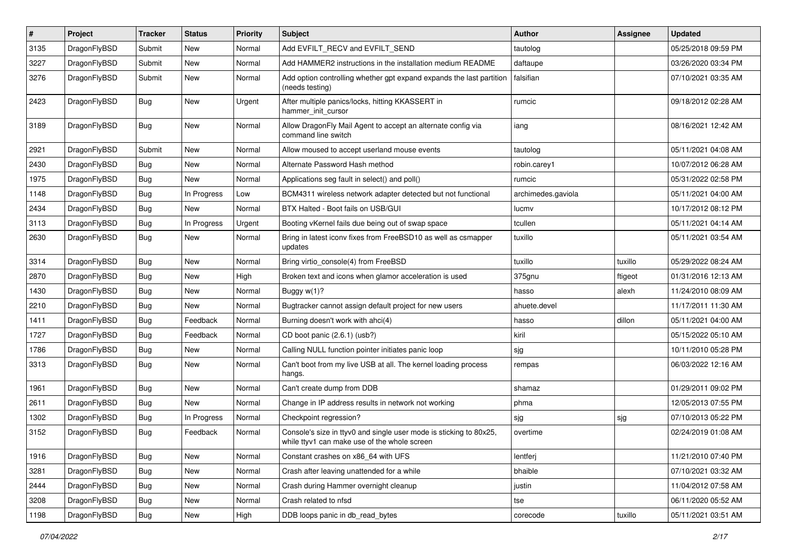| $\pmb{\#}$ | Project      | <b>Tracker</b> | <b>Status</b> | <b>Priority</b> | Subject                                                                                                            | <b>Author</b>      | <b>Assignee</b> | <b>Updated</b>      |
|------------|--------------|----------------|---------------|-----------------|--------------------------------------------------------------------------------------------------------------------|--------------------|-----------------|---------------------|
| 3135       | DragonFlyBSD | Submit         | <b>New</b>    | Normal          | Add EVFILT_RECV and EVFILT_SEND                                                                                    | tautolog           |                 | 05/25/2018 09:59 PM |
| 3227       | DragonFlyBSD | Submit         | <b>New</b>    | Normal          | Add HAMMER2 instructions in the installation medium README                                                         | daftaupe           |                 | 03/26/2020 03:34 PM |
| 3276       | DragonFlyBSD | Submit         | New           | Normal          | Add option controlling whether gpt expand expands the last partition<br>(needs testing)                            | falsifian          |                 | 07/10/2021 03:35 AM |
| 2423       | DragonFlyBSD | <b>Bug</b>     | New           | Urgent          | After multiple panics/locks, hitting KKASSERT in<br>hammer init cursor                                             | rumcic             |                 | 09/18/2012 02:28 AM |
| 3189       | DragonFlyBSD | Bug            | New           | Normal          | Allow DragonFly Mail Agent to accept an alternate config via<br>command line switch                                | iang               |                 | 08/16/2021 12:42 AM |
| 2921       | DragonFlyBSD | Submit         | New           | Normal          | Allow moused to accept userland mouse events                                                                       | tautolog           |                 | 05/11/2021 04:08 AM |
| 2430       | DragonFlyBSD | Bug            | <b>New</b>    | Normal          | Alternate Password Hash method                                                                                     | robin.carey1       |                 | 10/07/2012 06:28 AM |
| 1975       | DragonFlyBSD | Bug            | New           | Normal          | Applications seg fault in select() and poll()                                                                      | rumcic             |                 | 05/31/2022 02:58 PM |
| 1148       | DragonFlyBSD | Bug            | In Progress   | Low             | BCM4311 wireless network adapter detected but not functional                                                       | archimedes.gaviola |                 | 05/11/2021 04:00 AM |
| 2434       | DragonFlyBSD | Bug            | <b>New</b>    | Normal          | BTX Halted - Boot fails on USB/GUI                                                                                 | lucmv              |                 | 10/17/2012 08:12 PM |
| 3113       | DragonFlyBSD | Bug            | In Progress   | Urgent          | Booting vKernel fails due being out of swap space                                                                  | tcullen            |                 | 05/11/2021 04:14 AM |
| 2630       | DragonFlyBSD | Bug            | New           | Normal          | Bring in latest iconv fixes from FreeBSD10 as well as csmapper<br>updates                                          | tuxillo            |                 | 05/11/2021 03:54 AM |
| 3314       | DragonFlyBSD | Bug            | <b>New</b>    | Normal          | Bring virtio console(4) from FreeBSD                                                                               | tuxillo            | tuxillo         | 05/29/2022 08:24 AM |
| 2870       | DragonFlyBSD | Bug            | <b>New</b>    | High            | Broken text and icons when glamor acceleration is used                                                             | 375gnu             | ftigeot         | 01/31/2016 12:13 AM |
| 1430       | DragonFlyBSD | <b>Bug</b>     | New           | Normal          | Buggy $w(1)$ ?                                                                                                     | hasso              | alexh           | 11/24/2010 08:09 AM |
| 2210       | DragonFlyBSD | Bug            | New           | Normal          | Bugtracker cannot assign default project for new users                                                             | ahuete.devel       |                 | 11/17/2011 11:30 AM |
| 1411       | DragonFlyBSD | Bug            | Feedback      | Normal          | Burning doesn't work with ahci(4)                                                                                  | hasso              | dillon          | 05/11/2021 04:00 AM |
| 1727       | DragonFlyBSD | Bug            | Feedback      | Normal          | CD boot panic (2.6.1) (usb?)                                                                                       | kiril              |                 | 05/15/2022 05:10 AM |
| 1786       | DragonFlyBSD | Bug            | New           | Normal          | Calling NULL function pointer initiates panic loop                                                                 | sjg                |                 | 10/11/2010 05:28 PM |
| 3313       | DragonFlyBSD | Bug            | New           | Normal          | Can't boot from my live USB at all. The kernel loading process<br>hangs.                                           | rempas             |                 | 06/03/2022 12:16 AM |
| 1961       | DragonFlyBSD | Bug            | <b>New</b>    | Normal          | Can't create dump from DDB                                                                                         | shamaz             |                 | 01/29/2011 09:02 PM |
| 2611       | DragonFlyBSD | Bug            | New           | Normal          | Change in IP address results in network not working                                                                | phma               |                 | 12/05/2013 07:55 PM |
| 1302       | DragonFlyBSD | Bug            | In Progress   | Normal          | Checkpoint regression?                                                                                             | sjg                | sjg             | 07/10/2013 05:22 PM |
| 3152       | DragonFlyBSD | Bug            | Feedback      | Normal          | Console's size in ttyv0 and single user mode is sticking to 80x25,<br>while ttyv1 can make use of the whole screen | overtime           |                 | 02/24/2019 01:08 AM |
| 1916       | DragonFlyBSD | Bug            | New           | Normal          | Constant crashes on x86_64 with UFS                                                                                | lentferj           |                 | 11/21/2010 07:40 PM |
| 3281       | DragonFlyBSD | <b>Bug</b>     | New           | Normal          | Crash after leaving unattended for a while                                                                         | bhaible            |                 | 07/10/2021 03:32 AM |
| 2444       | DragonFlyBSD | <b>Bug</b>     | New           | Normal          | Crash during Hammer overnight cleanup                                                                              | justin             |                 | 11/04/2012 07:58 AM |
| 3208       | DragonFlyBSD | Bug            | New           | Normal          | Crash related to nfsd                                                                                              | tse                |                 | 06/11/2020 05:52 AM |
| 1198       | DragonFlyBSD | Bug            | New           | High            | DDB loops panic in db_read_bytes                                                                                   | corecode           | tuxillo         | 05/11/2021 03:51 AM |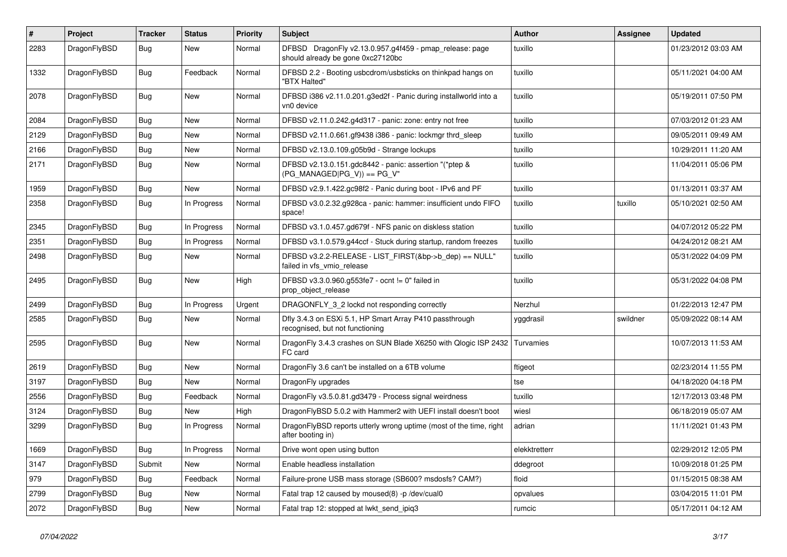| $\vert$ # | Project      | <b>Tracker</b> | <b>Status</b> | <b>Priority</b> | <b>Subject</b>                                                                               | <b>Author</b> | Assignee | <b>Updated</b>      |
|-----------|--------------|----------------|---------------|-----------------|----------------------------------------------------------------------------------------------|---------------|----------|---------------------|
| 2283      | DragonFlyBSD | <b>Bug</b>     | <b>New</b>    | Normal          | DFBSD DragonFly v2.13.0.957.g4f459 - pmap_release: page<br>should already be gone 0xc27120bc | tuxillo       |          | 01/23/2012 03:03 AM |
| 1332      | DragonFlyBSD | Bug            | Feedback      | Normal          | DFBSD 2.2 - Booting usbcdrom/usbsticks on thinkpad hangs on<br>"BTX Halted"                  | tuxillo       |          | 05/11/2021 04:00 AM |
| 2078      | DragonFlyBSD | <b>Bug</b>     | New           | Normal          | DFBSD i386 v2.11.0.201.g3ed2f - Panic during installworld into a<br>vn0 device               | tuxillo       |          | 05/19/2011 07:50 PM |
| 2084      | DragonFlyBSD | <b>Bug</b>     | <b>New</b>    | Normal          | DFBSD v2.11.0.242.g4d317 - panic: zone: entry not free                                       | tuxillo       |          | 07/03/2012 01:23 AM |
| 2129      | DragonFlyBSD | <b>Bug</b>     | <b>New</b>    | Normal          | DFBSD v2.11.0.661.gf9438 i386 - panic: lockmgr thrd_sleep                                    | tuxillo       |          | 09/05/2011 09:49 AM |
| 2166      | DragonFlyBSD | <b>Bug</b>     | <b>New</b>    | Normal          | DFBSD v2.13.0.109.g05b9d - Strange lockups                                                   | tuxillo       |          | 10/29/2011 11:20 AM |
| 2171      | DragonFlyBSD | Bug            | New           | Normal          | DFBSD v2.13.0.151.gdc8442 - panic: assertion "(*ptep &<br>$(PG_MANAGED PG_V)) == PG_V"$      | tuxillo       |          | 11/04/2011 05:06 PM |
| 1959      | DragonFlyBSD | <b>Bug</b>     | <b>New</b>    | Normal          | DFBSD v2.9.1.422.gc98f2 - Panic during boot - IPv6 and PF                                    | tuxillo       |          | 01/13/2011 03:37 AM |
| 2358      | DragonFlyBSD | Bug            | In Progress   | Normal          | DFBSD v3.0.2.32.g928ca - panic: hammer: insufficient undo FIFO<br>space!                     | tuxillo       | tuxillo  | 05/10/2021 02:50 AM |
| 2345      | DragonFlyBSD | Bug            | In Progress   | Normal          | DFBSD v3.1.0.457.gd679f - NFS panic on diskless station                                      | tuxillo       |          | 04/07/2012 05:22 PM |
| 2351      | DragonFlyBSD | Bug            | In Progress   | Normal          | DFBSD v3.1.0.579.g44ccf - Stuck during startup, random freezes                               | tuxillo       |          | 04/24/2012 08:21 AM |
| 2498      | DragonFlyBSD | Bug            | New           | Normal          | DFBSD v3.2.2-RELEASE - LIST_FIRST(&bp->b_dep) == NULL"<br>failed in vfs vmio release         | tuxillo       |          | 05/31/2022 04:09 PM |
| 2495      | DragonFlyBSD | <b>Bug</b>     | <b>New</b>    | High            | DFBSD v3.3.0.960.g553fe7 - ocnt != 0" failed in<br>prop object release                       | tuxillo       |          | 05/31/2022 04:08 PM |
| 2499      | DragonFlyBSD | Bug            | In Progress   | Urgent          | DRAGONFLY_3_2 lockd not responding correctly                                                 | Nerzhul       |          | 01/22/2013 12:47 PM |
| 2585      | DragonFlyBSD | <b>Bug</b>     | New           | Normal          | Dfly 3.4.3 on ESXi 5.1, HP Smart Array P410 passthrough<br>recognised, but not functioning   | yggdrasil     | swildner | 05/09/2022 08:14 AM |
| 2595      | DragonFlyBSD | <b>Bug</b>     | New           | Normal          | DragonFly 3.4.3 crashes on SUN Blade X6250 with Qlogic ISP 2432<br>FC card                   | Turvamies     |          | 10/07/2013 11:53 AM |
| 2619      | DragonFlyBSD | Bug            | <b>New</b>    | Normal          | DragonFly 3.6 can't be installed on a 6TB volume                                             | ftigeot       |          | 02/23/2014 11:55 PM |
| 3197      | DragonFlyBSD | <b>Bug</b>     | <b>New</b>    | Normal          | DragonFly upgrades                                                                           | tse           |          | 04/18/2020 04:18 PM |
| 2556      | DragonFlyBSD | Bug            | Feedback      | Normal          | DragonFly v3.5.0.81.gd3479 - Process signal weirdness                                        | tuxillo       |          | 12/17/2013 03:48 PM |
| 3124      | DragonFlyBSD | <b>Bug</b>     | <b>New</b>    | High            | DragonFlyBSD 5.0.2 with Hammer2 with UEFI install doesn't boot                               | wiesl         |          | 06/18/2019 05:07 AM |
| 3299      | DragonFlyBSD | <b>Bug</b>     | In Progress   | Normal          | DragonFlyBSD reports utterly wrong uptime (most of the time, right<br>after booting in)      | adrian        |          | 11/11/2021 01:43 PM |
| 1669      | DragonFlyBSD | <b>Bug</b>     | In Progress   | Normal          | Drive wont open using button                                                                 | elekktretterr |          | 02/29/2012 12:05 PM |
| 3147      | DragonFlyBSD | Submit         | New           | Normal          | Enable headless installation                                                                 | ddegroot      |          | 10/09/2018 01:25 PM |
| 979       | DragonFlyBSD | <b>Bug</b>     | Feedback      | Normal          | Failure-prone USB mass storage (SB600? msdosfs? CAM?)                                        | floid         |          | 01/15/2015 08:38 AM |
| 2799      | DragonFlyBSD | <b>Bug</b>     | <b>New</b>    | Normal          | Fatal trap 12 caused by moused(8) -p /dev/cual0                                              | opvalues      |          | 03/04/2015 11:01 PM |
| 2072      | DragonFlyBSD | Bug            | New           | Normal          | Fatal trap 12: stopped at lwkt send ipig3                                                    | rumcic        |          | 05/17/2011 04:12 AM |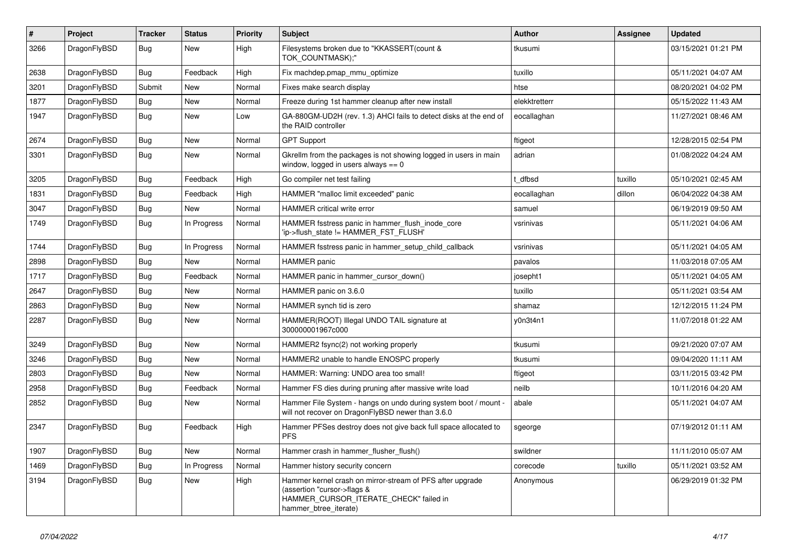| $\vert$ # | Project      | <b>Tracker</b> | <b>Status</b> | <b>Priority</b> | <b>Subject</b>                                                                                                                                              | <b>Author</b> | Assignee | <b>Updated</b>      |
|-----------|--------------|----------------|---------------|-----------------|-------------------------------------------------------------------------------------------------------------------------------------------------------------|---------------|----------|---------------------|
| 3266      | DragonFlyBSD | Bug            | <b>New</b>    | High            | Filesystems broken due to "KKASSERT(count &<br>TOK_COUNTMASK);"                                                                                             | tkusumi       |          | 03/15/2021 01:21 PM |
| 2638      | DragonFlyBSD | Bug            | Feedback      | High            | Fix machdep.pmap mmu optimize                                                                                                                               | tuxillo       |          | 05/11/2021 04:07 AM |
| 3201      | DragonFlyBSD | Submit         | <b>New</b>    | Normal          | Fixes make search display                                                                                                                                   | htse          |          | 08/20/2021 04:02 PM |
| 1877      | DragonFlyBSD | <b>Bug</b>     | <b>New</b>    | Normal          | Freeze during 1st hammer cleanup after new install                                                                                                          | elekktretterr |          | 05/15/2022 11:43 AM |
| 1947      | DragonFlyBSD | <b>Bug</b>     | <b>New</b>    | Low             | GA-880GM-UD2H (rev. 1.3) AHCI fails to detect disks at the end of<br>the RAID controller                                                                    | eocallaghan   |          | 11/27/2021 08:46 AM |
| 2674      | DragonFlyBSD | Bug            | <b>New</b>    | Normal          | <b>GPT Support</b>                                                                                                                                          | ftigeot       |          | 12/28/2015 02:54 PM |
| 3301      | DragonFlyBSD | <b>Bug</b>     | <b>New</b>    | Normal          | Gkrellm from the packages is not showing logged in users in main<br>window, logged in users always $== 0$                                                   | adrian        |          | 01/08/2022 04:24 AM |
| 3205      | DragonFlyBSD | <b>Bug</b>     | Feedback      | High            | Go compiler net test failing                                                                                                                                | t dfbsd       | tuxillo  | 05/10/2021 02:45 AM |
| 1831      | DragonFlyBSD | <b>Bug</b>     | Feedback      | High            | HAMMER "malloc limit exceeded" panic                                                                                                                        | eocallaghan   | dillon   | 06/04/2022 04:38 AM |
| 3047      | DragonFlyBSD | <b>Bug</b>     | <b>New</b>    | Normal          | <b>HAMMER</b> critical write error                                                                                                                          | samuel        |          | 06/19/2019 09:50 AM |
| 1749      | DragonFlyBSD | <b>Bug</b>     | In Progress   | Normal          | HAMMER fsstress panic in hammer_flush_inode_core<br>'ip->flush_state != HAMMER_FST_FLUSH'                                                                   | vsrinivas     |          | 05/11/2021 04:06 AM |
| 1744      | DragonFlyBSD | Bug            | In Progress   | Normal          | HAMMER fsstress panic in hammer_setup_child_callback                                                                                                        | vsrinivas     |          | 05/11/2021 04:05 AM |
| 2898      | DragonFlyBSD | Bug            | <b>New</b>    | Normal          | <b>HAMMER</b> panic                                                                                                                                         | pavalos       |          | 11/03/2018 07:05 AM |
| 1717      | DragonFlyBSD | Bug            | Feedback      | Normal          | HAMMER panic in hammer cursor down()                                                                                                                        | josepht1      |          | 05/11/2021 04:05 AM |
| 2647      | DragonFlyBSD | <b>Bug</b>     | <b>New</b>    | Normal          | HAMMER panic on 3.6.0                                                                                                                                       | tuxillo       |          | 05/11/2021 03:54 AM |
| 2863      | DragonFlyBSD | Bug            | <b>New</b>    | Normal          | HAMMER synch tid is zero                                                                                                                                    | shamaz        |          | 12/12/2015 11:24 PM |
| 2287      | DragonFlyBSD | Bug            | New           | Normal          | HAMMER(ROOT) Illegal UNDO TAIL signature at<br>300000001967c000                                                                                             | y0n3t4n1      |          | 11/07/2018 01:22 AM |
| 3249      | DragonFlyBSD | Bug            | New           | Normal          | HAMMER2 fsync(2) not working properly                                                                                                                       | tkusumi       |          | 09/21/2020 07:07 AM |
| 3246      | DragonFlyBSD | Bug            | <b>New</b>    | Normal          | HAMMER2 unable to handle ENOSPC properly                                                                                                                    | tkusumi       |          | 09/04/2020 11:11 AM |
| 2803      | DragonFlyBSD | Bug            | <b>New</b>    | Normal          | HAMMER: Warning: UNDO area too small!                                                                                                                       | ftigeot       |          | 03/11/2015 03:42 PM |
| 2958      | DragonFlyBSD | <b>Bug</b>     | Feedback      | Normal          | Hammer FS dies during pruning after massive write load                                                                                                      | neilb         |          | 10/11/2016 04:20 AM |
| 2852      | DragonFlyBSD | <b>Bug</b>     | <b>New</b>    | Normal          | Hammer File System - hangs on undo during system boot / mount -<br>will not recover on DragonFlyBSD newer than 3.6.0                                        | abale         |          | 05/11/2021 04:07 AM |
| 2347      | DragonFlyBSD | <b>Bug</b>     | Feedback      | High            | Hammer PFSes destroy does not give back full space allocated to<br><b>PFS</b>                                                                               | sgeorge       |          | 07/19/2012 01:11 AM |
| 1907      | DragonFlyBSD | Bug            | New           | Normal          | Hammer crash in hammer flusher flush()                                                                                                                      | swildner      |          | 11/11/2010 05:07 AM |
| 1469      | DragonFlyBSD | <b>Bug</b>     | In Progress   | Normal          | Hammer history security concern                                                                                                                             | corecode      | tuxillo  | 05/11/2021 03:52 AM |
| 3194      | DragonFlyBSD | Bug            | <b>New</b>    | High            | Hammer kernel crash on mirror-stream of PFS after upgrade<br>(assertion "cursor->flags &<br>HAMMER_CURSOR_ITERATE_CHECK" failed in<br>hammer btree iterate) | Anonymous     |          | 06/29/2019 01:32 PM |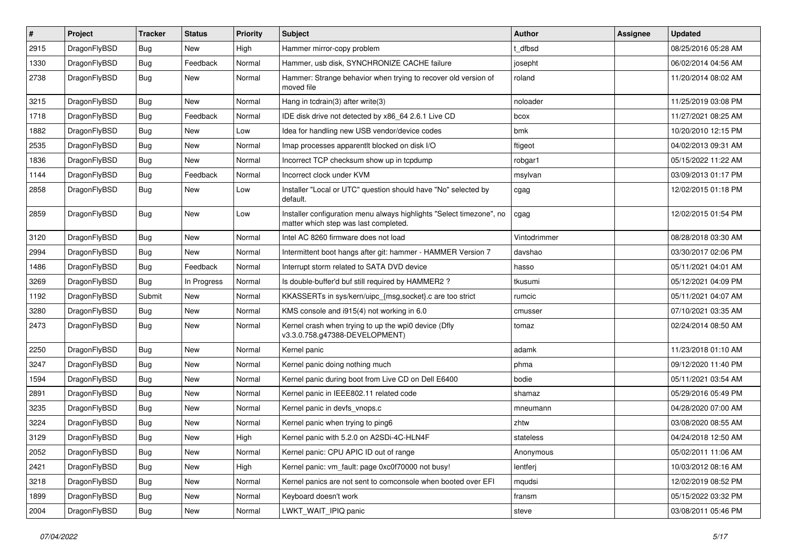| $\vert$ # | Project      | <b>Tracker</b> | <b>Status</b> | <b>Priority</b> | Subject                                                                                                       | Author       | <b>Assignee</b> | <b>Updated</b>      |
|-----------|--------------|----------------|---------------|-----------------|---------------------------------------------------------------------------------------------------------------|--------------|-----------------|---------------------|
| 2915      | DragonFlyBSD | Bug            | New           | High            | Hammer mirror-copy problem                                                                                    | t dfbsd      |                 | 08/25/2016 05:28 AM |
| 1330      | DragonFlyBSD | <b>Bug</b>     | Feedback      | Normal          | Hammer, usb disk, SYNCHRONIZE CACHE failure                                                                   | josepht      |                 | 06/02/2014 04:56 AM |
| 2738      | DragonFlyBSD | Bug            | New           | Normal          | Hammer: Strange behavior when trying to recover old version of<br>moved file                                  | roland       |                 | 11/20/2014 08:02 AM |
| 3215      | DragonFlyBSD | <b>Bug</b>     | <b>New</b>    | Normal          | Hang in tcdrain(3) after write(3)                                                                             | noloader     |                 | 11/25/2019 03:08 PM |
| 1718      | DragonFlyBSD | <b>Bug</b>     | Feedback      | Normal          | IDE disk drive not detected by x86 64 2.6.1 Live CD                                                           | bcox         |                 | 11/27/2021 08:25 AM |
| 1882      | DragonFlyBSD | Bug            | <b>New</b>    | Low             | Idea for handling new USB vendor/device codes                                                                 | bmk          |                 | 10/20/2010 12:15 PM |
| 2535      | DragonFlyBSD | <b>Bug</b>     | New           | Normal          | Imap processes apparentlt blocked on disk I/O                                                                 | ftigeot      |                 | 04/02/2013 09:31 AM |
| 1836      | DragonFlyBSD | Bug            | <b>New</b>    | Normal          | Incorrect TCP checksum show up in tcpdump                                                                     | robgar1      |                 | 05/15/2022 11:22 AM |
| 1144      | DragonFlyBSD | <b>Bug</b>     | Feedback      | Normal          | Incorrect clock under KVM                                                                                     | msylvan      |                 | 03/09/2013 01:17 PM |
| 2858      | DragonFlyBSD | Bug            | New           | Low             | Installer "Local or UTC" question should have "No" selected by<br>default.                                    | cgag         |                 | 12/02/2015 01:18 PM |
| 2859      | DragonFlyBSD | Bug            | New           | Low             | Installer configuration menu always highlights "Select timezone", no<br>matter which step was last completed. | cgag         |                 | 12/02/2015 01:54 PM |
| 3120      | DragonFlyBSD | Bug            | <b>New</b>    | Normal          | Intel AC 8260 firmware does not load                                                                          | Vintodrimmer |                 | 08/28/2018 03:30 AM |
| 2994      | DragonFlyBSD | <b>Bug</b>     | New           | Normal          | Intermittent boot hangs after git: hammer - HAMMER Version 7                                                  | davshao      |                 | 03/30/2017 02:06 PM |
| 1486      | DragonFlyBSD | Bug            | Feedback      | Normal          | Interrupt storm related to SATA DVD device                                                                    | hasso        |                 | 05/11/2021 04:01 AM |
| 3269      | DragonFlyBSD | Bug            | In Progress   | Normal          | Is double-buffer'd buf still required by HAMMER2?                                                             | tkusumi      |                 | 05/12/2021 04:09 PM |
| 1192      | DragonFlyBSD | Submit         | New           | Normal          | KKASSERTs in sys/kern/uipc_{msg,socket}.c are too strict                                                      | rumcic       |                 | 05/11/2021 04:07 AM |
| 3280      | DragonFlyBSD | Bug            | <b>New</b>    | Normal          | KMS console and i915(4) not working in 6.0                                                                    | cmusser      |                 | 07/10/2021 03:35 AM |
| 2473      | DragonFlyBSD | Bug            | New           | Normal          | Kernel crash when trying to up the wpi0 device (Dfly<br>v3.3.0.758.g47388-DEVELOPMENT)                        | tomaz        |                 | 02/24/2014 08:50 AM |
| 2250      | DragonFlyBSD | Bug            | <b>New</b>    | Normal          | Kernel panic                                                                                                  | adamk        |                 | 11/23/2018 01:10 AM |
| 3247      | DragonFlyBSD | <b>Bug</b>     | New           | Normal          | Kernel panic doing nothing much                                                                               | phma         |                 | 09/12/2020 11:40 PM |
| 1594      | DragonFlyBSD | Bug            | <b>New</b>    | Normal          | Kernel panic during boot from Live CD on Dell E6400                                                           | bodie        |                 | 05/11/2021 03:54 AM |
| 2891      | DragonFlyBSD | Bug            | <b>New</b>    | Normal          | Kernel panic in IEEE802.11 related code                                                                       | shamaz       |                 | 05/29/2016 05:49 PM |
| 3235      | DragonFlyBSD | <b>Bug</b>     | <b>New</b>    | Normal          | Kernel panic in devfs vnops.c                                                                                 | mneumann     |                 | 04/28/2020 07:00 AM |
| 3224      | DragonFlyBSD | Bug            | New           | Normal          | Kernel panic when trying to ping6                                                                             | zhtw         |                 | 03/08/2020 08:55 AM |
| 3129      | DragonFlyBSD | <b>Bug</b>     | New           | High            | Kernel panic with 5.2.0 on A2SDi-4C-HLN4F                                                                     | stateless    |                 | 04/24/2018 12:50 AM |
| 2052      | DragonFlyBSD | <b>Bug</b>     | New           | Normal          | Kernel panic: CPU APIC ID out of range                                                                        | Anonymous    |                 | 05/02/2011 11:06 AM |
| 2421      | DragonFlyBSD | <b>Bug</b>     | New           | High            | Kernel panic: vm_fault: page 0xc0f70000 not busy!                                                             | lentferj     |                 | 10/03/2012 08:16 AM |
| 3218      | DragonFlyBSD | <b>Bug</b>     | New           | Normal          | Kernel panics are not sent to comconsole when booted over EFI                                                 | mqudsi       |                 | 12/02/2019 08:52 PM |
| 1899      | DragonFlyBSD | <b>Bug</b>     | New           | Normal          | Keyboard doesn't work                                                                                         | fransm       |                 | 05/15/2022 03:32 PM |
| 2004      | DragonFlyBSD | <b>Bug</b>     | New           | Normal          | LWKT_WAIT_IPIQ panic                                                                                          | steve        |                 | 03/08/2011 05:46 PM |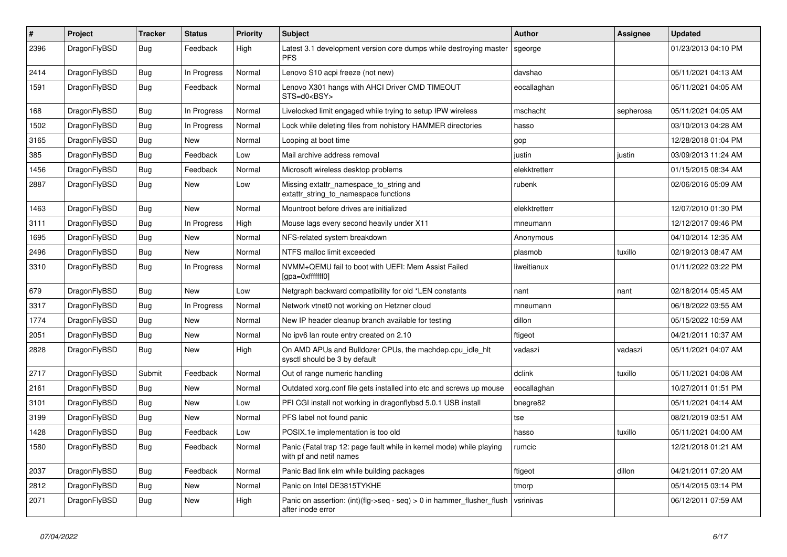| ∦    | Project      | <b>Tracker</b> | <b>Status</b> | <b>Priority</b> | Subject                                                                                         | Author        | Assignee  | <b>Updated</b>      |
|------|--------------|----------------|---------------|-----------------|-------------------------------------------------------------------------------------------------|---------------|-----------|---------------------|
| 2396 | DragonFlyBSD | Bug            | Feedback      | High            | Latest 3.1 development version core dumps while destroying master<br><b>PFS</b>                 | sgeorge       |           | 01/23/2013 04:10 PM |
| 2414 | DragonFlyBSD | <b>Bug</b>     | In Progress   | Normal          | Lenovo S10 acpi freeze (not new)                                                                | davshao       |           | 05/11/2021 04:13 AM |
| 1591 | DragonFlyBSD | Bug            | Feedback      | Normal          | Lenovo X301 hangs with AHCI Driver CMD TIMEOUT<br>STS=d0 <bsy></bsy>                            | eocallaghan   |           | 05/11/2021 04:05 AM |
| 168  | DragonFlyBSD | Bug            | In Progress   | Normal          | Livelocked limit engaged while trying to setup IPW wireless                                     | mschacht      | sepherosa | 05/11/2021 04:05 AM |
| 1502 | DragonFlyBSD | Bug            | In Progress   | Normal          | Lock while deleting files from nohistory HAMMER directories                                     | hasso         |           | 03/10/2013 04:28 AM |
| 3165 | DragonFlyBSD | Bug            | New           | Normal          | Looping at boot time                                                                            | gop           |           | 12/28/2018 01:04 PM |
| 385  | DragonFlyBSD | <b>Bug</b>     | Feedback      | Low             | Mail archive address removal                                                                    | justin        | justin    | 03/09/2013 11:24 AM |
| 1456 | DragonFlyBSD | <b>Bug</b>     | Feedback      | Normal          | Microsoft wireless desktop problems                                                             | elekktretterr |           | 01/15/2015 08:34 AM |
| 2887 | DragonFlyBSD | <b>Bug</b>     | New           | Low             | Missing extattr_namespace_to_string and<br>extattr_string_to_namespace functions                | rubenk        |           | 02/06/2016 05:09 AM |
| 1463 | DragonFlyBSD | <b>Bug</b>     | New           | Normal          | Mountroot before drives are initialized                                                         | elekktretterr |           | 12/07/2010 01:30 PM |
| 3111 | DragonFlyBSD | Bug            | In Progress   | High            | Mouse lags every second heavily under X11                                                       | mneumann      |           | 12/12/2017 09:46 PM |
| 1695 | DragonFlyBSD | Bug            | <b>New</b>    | Normal          | NFS-related system breakdown                                                                    | Anonymous     |           | 04/10/2014 12:35 AM |
| 2496 | DragonFlyBSD | <b>Bug</b>     | New           | Normal          | NTFS malloc limit exceeded                                                                      | plasmob       | tuxillo   | 02/19/2013 08:47 AM |
| 3310 | DragonFlyBSD | Bug            | In Progress   | Normal          | NVMM+QEMU fail to boot with UEFI: Mem Assist Failed<br>[gpa=0xfffffff0]                         | liweitianux   |           | 01/11/2022 03:22 PM |
| 679  | DragonFlyBSD | <b>Bug</b>     | New           | Low             | Netgraph backward compatibility for old *LEN constants                                          | nant          | nant      | 02/18/2014 05:45 AM |
| 3317 | DragonFlyBSD | Bug            | In Progress   | Normal          | Network vtnet0 not working on Hetzner cloud                                                     | mneumann      |           | 06/18/2022 03:55 AM |
| 1774 | DragonFlyBSD | <b>Bug</b>     | <b>New</b>    | Normal          | New IP header cleanup branch available for testing                                              | dillon        |           | 05/15/2022 10:59 AM |
| 2051 | DragonFlyBSD | <b>Bug</b>     | New           | Normal          | No ipv6 lan route entry created on 2.10                                                         | ftigeot       |           | 04/21/2011 10:37 AM |
| 2828 | DragonFlyBSD | Bug            | <b>New</b>    | High            | On AMD APUs and Bulldozer CPUs, the machdep.cpu_idle_hlt<br>sysctl should be 3 by default       | vadaszi       | vadaszi   | 05/11/2021 04:07 AM |
| 2717 | DragonFlyBSD | Submit         | Feedback      | Normal          | Out of range numeric handling                                                                   | dclink        | tuxillo   | 05/11/2021 04:08 AM |
| 2161 | DragonFlyBSD | Bug            | <b>New</b>    | Normal          | Outdated xorg.conf file gets installed into etc and screws up mouse                             | eocallaghan   |           | 10/27/2011 01:51 PM |
| 3101 | DragonFlyBSD | Bug            | New           | Low             | PFI CGI install not working in dragonflybsd 5.0.1 USB install                                   | bnegre82      |           | 05/11/2021 04:14 AM |
| 3199 | DragonFlyBSD | Bug            | New           | Normal          | PFS label not found panic                                                                       | tse           |           | 08/21/2019 03:51 AM |
| 1428 | DragonFlyBSD | <b>Bug</b>     | Feedback      | Low             | POSIX.1e implementation is too old                                                              | hasso         | tuxillo   | 05/11/2021 04:00 AM |
| 1580 | DragonFlyBSD | Bug            | Feedback      | Normal          | Panic (Fatal trap 12: page fault while in kernel mode) while playing<br>with pf and netif names | rumcic        |           | 12/21/2018 01:21 AM |
| 2037 | DragonFlyBSD | <b>Bug</b>     | Feedback      | Normal          | Panic Bad link elm while building packages                                                      | ftigeot       | dillon    | 04/21/2011 07:20 AM |
| 2812 | DragonFlyBSD | <b>Bug</b>     | New           | Normal          | Panic on Intel DE3815TYKHE                                                                      | tmorp         |           | 05/14/2015 03:14 PM |
| 2071 | DragonFlyBSD | Bug            | New           | High            | Panic on assertion: (int)(flg->seq - seq) > 0 in hammer_flusher_flush<br>after inode error      | vsrinivas     |           | 06/12/2011 07:59 AM |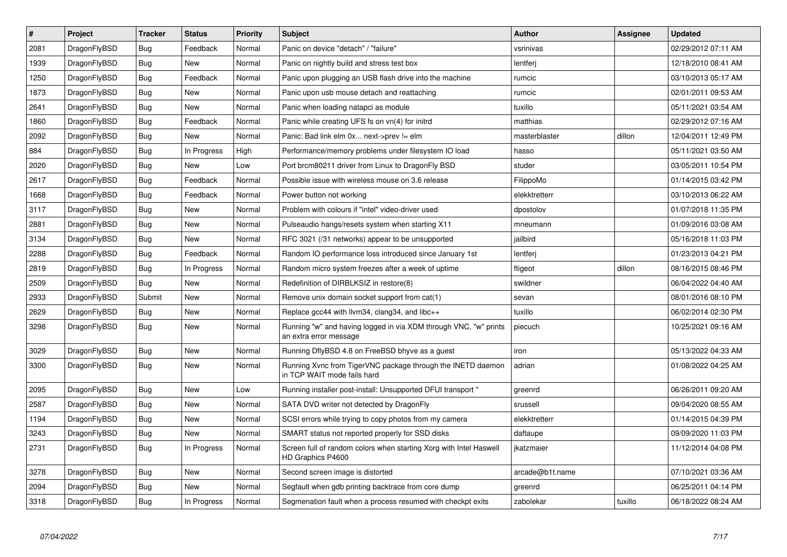| $\vert$ # | Project      | <b>Tracker</b> | <b>Status</b> | <b>Priority</b> | <b>Subject</b>                                                                             | Author          | Assignee | Updated             |
|-----------|--------------|----------------|---------------|-----------------|--------------------------------------------------------------------------------------------|-----------------|----------|---------------------|
| 2081      | DragonFlyBSD | <b>Bug</b>     | Feedback      | Normal          | Panic on device "detach" / "failure"                                                       | vsrinivas       |          | 02/29/2012 07:11 AM |
| 1939      | DragonFlyBSD | Bug            | New           | Normal          | Panic on nightly build and stress test box                                                 | lentferi        |          | 12/18/2010 08:41 AM |
| 1250      | DragonFlyBSD | Bug            | Feedback      | Normal          | Panic upon plugging an USB flash drive into the machine                                    | rumcic          |          | 03/10/2013 05:17 AM |
| 1873      | DragonFlyBSD | Bug            | <b>New</b>    | Normal          | Panic upon usb mouse detach and reattaching                                                | rumcic          |          | 02/01/2011 09:53 AM |
| 2641      | DragonFlyBSD | <b>Bug</b>     | <b>New</b>    | Normal          | Panic when loading natapci as module                                                       | tuxillo         |          | 05/11/2021 03:54 AM |
| 1860      | DragonFlyBSD | Bug            | Feedback      | Normal          | Panic while creating UFS fs on $vn(4)$ for initrd                                          | matthias        |          | 02/29/2012 07:16 AM |
| 2092      | DragonFlyBSD | <b>Bug</b>     | <b>New</b>    | Normal          | Panic: Bad link elm 0x next->prev != elm                                                   | masterblaster   | dillon   | 12/04/2011 12:49 PM |
| 884       | DragonFlyBSD | Bug            | In Progress   | High            | Performance/memory problems under filesystem IO load                                       | hasso           |          | 05/11/2021 03:50 AM |
| 2020      | DragonFlyBSD | <b>Bug</b>     | <b>New</b>    | Low             | Port brcm80211 driver from Linux to DragonFly BSD                                          | studer          |          | 03/05/2011 10:54 PM |
| 2617      | DragonFlyBSD | Bug            | Feedback      | Normal          | Possible issue with wireless mouse on 3.6 release                                          | FilippoMo       |          | 01/14/2015 03:42 PM |
| 1668      | DragonFlyBSD | Bug            | Feedback      | Normal          | Power button not working                                                                   | elekktretterr   |          | 03/10/2013 06:22 AM |
| 3117      | DragonFlyBSD | Bug            | <b>New</b>    | Normal          | Problem with colours if "intel" video-driver used                                          | dpostolov       |          | 01/07/2018 11:35 PM |
| 2881      | DragonFlyBSD | <b>Bug</b>     | New           | Normal          | Pulseaudio hangs/resets system when starting X11                                           | mneumann        |          | 01/09/2016 03:08 AM |
| 3134      | DragonFlyBSD | Bug            | New           | Normal          | RFC 3021 (/31 networks) appear to be unsupported                                           | jailbird        |          | 05/16/2018 11:03 PM |
| 2288      | DragonFlyBSD | Bug            | Feedback      | Normal          | Random IO performance loss introduced since January 1st                                    | lentferj        |          | 01/23/2013 04:21 PM |
| 2819      | DragonFlyBSD | Bug            | In Progress   | Normal          | Random micro system freezes after a week of uptime                                         | ftigeot         | dillon   | 08/16/2015 08:46 PM |
| 2509      | DragonFlyBSD | <b>Bug</b>     | New           | Normal          | Redefinition of DIRBLKSIZ in restore(8)                                                    | swildner        |          | 06/04/2022 04:40 AM |
| 2933      | DragonFlyBSD | Submit         | New           | Normal          | Remove unix domain socket support from cat(1)                                              | sevan           |          | 08/01/2016 08:10 PM |
| 2629      | DragonFlyBSD | <b>Bug</b>     | New           | Normal          | Replace gcc44 with llvm34, clang34, and libc++                                             | tuxillo         |          | 06/02/2014 02:30 PM |
| 3298      | DragonFlyBSD | Bug            | <b>New</b>    | Normal          | Running "w" and having logged in via XDM through VNC, "w" prints<br>an extra error message | piecuch         |          | 10/25/2021 09:16 AM |
| 3029      | DragonFlyBSD | <b>Bug</b>     | New           | Normal          | Running DflyBSD 4.8 on FreeBSD bhyve as a guest                                            | iron            |          | 05/13/2022 04:33 AM |
| 3300      | DragonFlyBSD | Bug            | <b>New</b>    | Normal          | Running Xvnc from TigerVNC package through the INETD daemon<br>in TCP WAIT mode fails hard | adrian          |          | 01/08/2022 04:25 AM |
| 2095      | DragonFlyBSD | <b>Bug</b>     | New           | Low             | Running installer post-install: Unsupported DFUI transport "                               | greenrd         |          | 06/26/2011 09:20 AM |
| 2587      | DragonFlyBSD | Bug            | <b>New</b>    | Normal          | SATA DVD writer not detected by DragonFly                                                  | srussell        |          | 09/04/2020 08:55 AM |
| 1194      | DragonFlyBSD | <b>Bug</b>     | <b>New</b>    | Normal          | SCSI errors while trying to copy photos from my camera                                     | elekktretterr   |          | 01/14/2015 04:39 PM |
| 3243      | DragonFlyBSD | Bug            | New           | Normal          | SMART status not reported properly for SSD disks                                           | daftaupe        |          | 09/09/2020 11:03 PM |
| 2731      | DragonFlyBSD | <b>Bug</b>     | In Progress   | Normal          | Screen full of random colors when starting Xorg with Intel Haswell<br>HD Graphics P4600    | jkatzmaier      |          | 11/12/2014 04:08 PM |
| 3278      | DragonFlyBSD | <b>Bug</b>     | <b>New</b>    | Normal          | Second screen image is distorted                                                           | arcade@b1t.name |          | 07/10/2021 03:36 AM |
| 2094      | DragonFlyBSD | Bug            | New           | Normal          | Segfault when gdb printing backtrace from core dump                                        | greenrd         |          | 06/25/2011 04:14 PM |
| 3318      | DragonFlyBSD | Bug            | In Progress   | Normal          | Segmenation fault when a process resumed with checkpt exits                                | zabolekar       | tuxillo  | 06/18/2022 08:24 AM |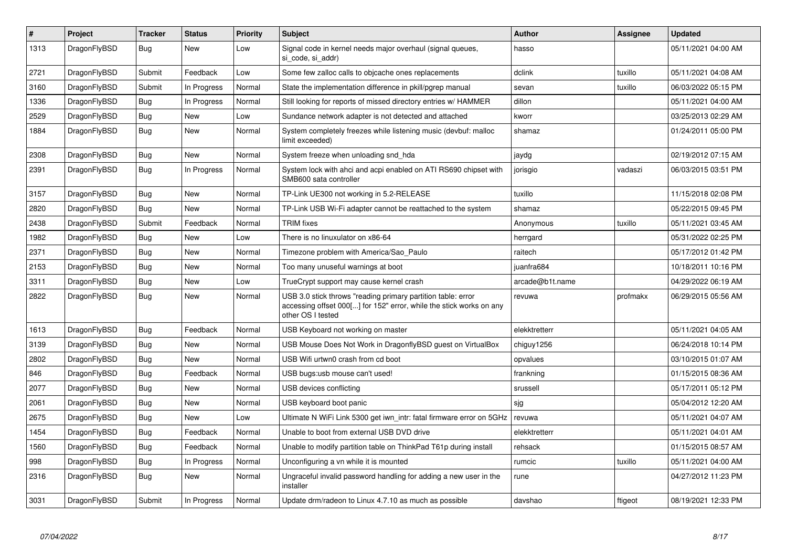| $\vert$ # | Project      | <b>Tracker</b> | <b>Status</b> | <b>Priority</b> | <b>Subject</b>                                                                                                                                           | Author          | Assignee | <b>Updated</b>      |
|-----------|--------------|----------------|---------------|-----------------|----------------------------------------------------------------------------------------------------------------------------------------------------------|-----------------|----------|---------------------|
| 1313      | DragonFlyBSD | Bug            | <b>New</b>    | Low             | Signal code in kernel needs major overhaul (signal queues,<br>si code, si addr)                                                                          | hasso           |          | 05/11/2021 04:00 AM |
| 2721      | DragonFlyBSD | Submit         | Feedback      | Low             | Some few zalloc calls to objcache ones replacements                                                                                                      | dclink          | tuxillo  | 05/11/2021 04:08 AM |
| 3160      | DragonFlyBSD | Submit         | In Progress   | Normal          | State the implementation difference in pkill/pgrep manual                                                                                                | sevan           | tuxillo  | 06/03/2022 05:15 PM |
| 1336      | DragonFlyBSD | <b>Bug</b>     | In Progress   | Normal          | Still looking for reports of missed directory entries w/ HAMMER                                                                                          | dillon          |          | 05/11/2021 04:00 AM |
| 2529      | DragonFlyBSD | <b>Bug</b>     | <b>New</b>    | Low             | Sundance network adapter is not detected and attached                                                                                                    | kworr           |          | 03/25/2013 02:29 AM |
| 1884      | DragonFlyBSD | Bug            | New           | Normal          | System completely freezes while listening music (devbuf: malloc<br>limit exceeded)                                                                       | shamaz          |          | 01/24/2011 05:00 PM |
| 2308      | DragonFlyBSD | <b>Bug</b>     | <b>New</b>    | Normal          | System freeze when unloading snd hda                                                                                                                     | jaydg           |          | 02/19/2012 07:15 AM |
| 2391      | DragonFlyBSD | <b>Bug</b>     | In Progress   | Normal          | System lock with ahci and acpi enabled on ATI RS690 chipset with<br>SMB600 sata controller                                                               | jorisgio        | vadaszi  | 06/03/2015 03:51 PM |
| 3157      | DragonFlyBSD | <b>Bug</b>     | <b>New</b>    | Normal          | TP-Link UE300 not working in 5.2-RELEASE                                                                                                                 | tuxillo         |          | 11/15/2018 02:08 PM |
| 2820      | DragonFlyBSD | Bug            | <b>New</b>    | Normal          | TP-Link USB Wi-Fi adapter cannot be reattached to the system                                                                                             | shamaz          |          | 05/22/2015 09:45 PM |
| 2438      | DragonFlyBSD | Submit         | Feedback      | Normal          | <b>TRIM</b> fixes                                                                                                                                        | Anonymous       | tuxillo  | 05/11/2021 03:45 AM |
| 1982      | DragonFlyBSD | <b>Bug</b>     | New           | Low             | There is no linuxulator on x86-64                                                                                                                        | herrgard        |          | 05/31/2022 02:25 PM |
| 2371      | DragonFlyBSD | <b>Bug</b>     | <b>New</b>    | Normal          | Timezone problem with America/Sao Paulo                                                                                                                  | raitech         |          | 05/17/2012 01:42 PM |
| 2153      | DragonFlyBSD | Bug            | New           | Normal          | Too many unuseful warnings at boot                                                                                                                       | juanfra684      |          | 10/18/2011 10:16 PM |
| 3311      | DragonFlyBSD | Bug            | <b>New</b>    | Low             | TrueCrypt support may cause kernel crash                                                                                                                 | arcade@b1t.name |          | 04/29/2022 06:19 AM |
| 2822      | DragonFlyBSD | Bug            | <b>New</b>    | Normal          | USB 3.0 stick throws "reading primary partition table: error<br>accessing offset 000[] for 152" error, while the stick works on any<br>other OS I tested | revuwa          | profmakx | 06/29/2015 05:56 AM |
| 1613      | DragonFlyBSD | Bug            | Feedback      | Normal          | USB Keyboard not working on master                                                                                                                       | elekktretterr   |          | 05/11/2021 04:05 AM |
| 3139      | DragonFlyBSD | <b>Bug</b>     | <b>New</b>    | Normal          | USB Mouse Does Not Work in DragonflyBSD guest on VirtualBox                                                                                              | chiguy1256      |          | 06/24/2018 10:14 PM |
| 2802      | DragonFlyBSD | Bug            | <b>New</b>    | Normal          | USB Wifi urtwn0 crash from cd boot                                                                                                                       | opvalues        |          | 03/10/2015 01:07 AM |
| 846       | DragonFlyBSD | <b>Bug</b>     | Feedback      | Normal          | USB bugs:usb mouse can't used!                                                                                                                           | frankning       |          | 01/15/2015 08:36 AM |
| 2077      | DragonFlyBSD | Bug            | New           | Normal          | USB devices conflicting                                                                                                                                  | srussell        |          | 05/17/2011 05:12 PM |
| 2061      | DragonFlyBSD | <b>Bug</b>     | New           | Normal          | USB keyboard boot panic                                                                                                                                  | sjg             |          | 05/04/2012 12:20 AM |
| 2675      | DragonFlyBSD | Bug            | New           | Low             | Ultimate N WiFi Link 5300 get iwn intr: fatal firmware error on 5GHz                                                                                     | revuwa          |          | 05/11/2021 04:07 AM |
| 1454      | DragonFlyBSD | <b>Bug</b>     | Feedback      | Normal          | Unable to boot from external USB DVD drive                                                                                                               | elekktretterr   |          | 05/11/2021 04:01 AM |
| 1560      | DragonFlyBSD | <b>Bug</b>     | Feedback      | Normal          | Unable to modify partition table on ThinkPad T61p during install                                                                                         | rehsack         |          | 01/15/2015 08:57 AM |
| 998       | DragonFlyBSD | Bug            | In Progress   | Normal          | Unconfiguring a vn while it is mounted                                                                                                                   | rumcic          | tuxillo  | 05/11/2021 04:00 AM |
| 2316      | DragonFlyBSD | <b>Bug</b>     | <b>New</b>    | Normal          | Ungraceful invalid password handling for adding a new user in the<br>installer                                                                           | rune            |          | 04/27/2012 11:23 PM |
| 3031      | DragonFlyBSD | Submit         | In Progress   | Normal          | Update drm/radeon to Linux 4.7.10 as much as possible                                                                                                    | davshao         | ftigeot  | 08/19/2021 12:33 PM |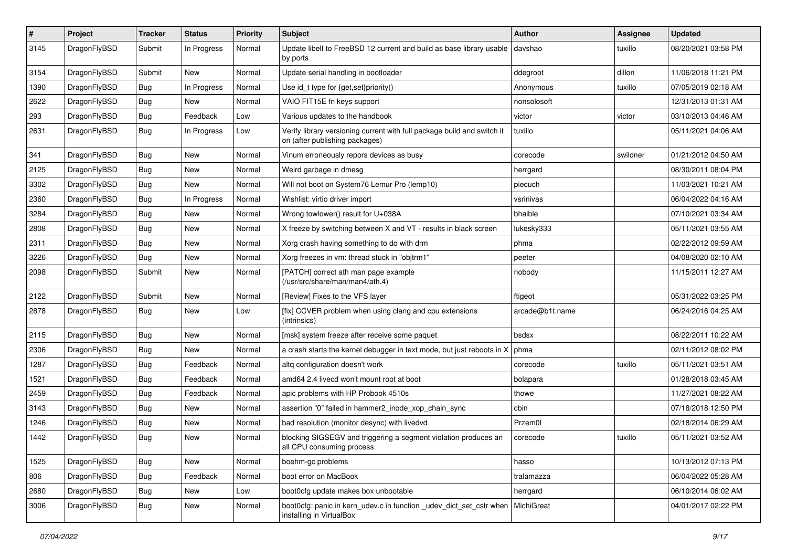| $\sharp$ | Project      | <b>Tracker</b> | <b>Status</b> | <b>Priority</b> | Subject                                                                                                   | <b>Author</b>   | Assignee | <b>Updated</b>      |
|----------|--------------|----------------|---------------|-----------------|-----------------------------------------------------------------------------------------------------------|-----------------|----------|---------------------|
| 3145     | DragonFlyBSD | Submit         | In Progress   | Normal          | Update libelf to FreeBSD 12 current and build as base library usable<br>by ports                          | davshao         | tuxillo  | 08/20/2021 03:58 PM |
| 3154     | DragonFlyBSD | Submit         | New           | Normal          | Update serial handling in bootloader                                                                      | ddegroot        | dillon   | 11/06/2018 11:21 PM |
| 1390     | DragonFlyBSD | <b>Bug</b>     | In Progress   | Normal          | Use id_t type for {get,set}priority()                                                                     | Anonymous       | tuxillo  | 07/05/2019 02:18 AM |
| 2622     | DragonFlyBSD | Bug            | New           | Normal          | VAIO FIT15E fn keys support                                                                               | nonsolosoft     |          | 12/31/2013 01:31 AM |
| 293      | DragonFlyBSD | <b>Bug</b>     | Feedback      | Low             | Various updates to the handbook                                                                           | victor          | victor   | 03/10/2013 04:46 AM |
| 2631     | DragonFlyBSD | <b>Bug</b>     | In Progress   | Low             | Verify library versioning current with full package build and switch it<br>on (after publishing packages) | tuxillo         |          | 05/11/2021 04:06 AM |
| 341      | DragonFlyBSD | Bug            | New           | Normal          | Vinum erroneously repors devices as busy                                                                  | corecode        | swildner | 01/21/2012 04:50 AM |
| 2125     | DragonFlyBSD | Bug            | New           | Normal          | Weird garbage in dmesg                                                                                    | herrgard        |          | 08/30/2011 08:04 PM |
| 3302     | DragonFlyBSD | <b>Bug</b>     | New           | Normal          | Will not boot on System76 Lemur Pro (lemp10)                                                              | piecuch         |          | 11/03/2021 10:21 AM |
| 2360     | DragonFlyBSD | <b>Bug</b>     | In Progress   | Normal          | Wishlist: virtio driver import                                                                            | vsrinivas       |          | 06/04/2022 04:16 AM |
| 3284     | DragonFlyBSD | <b>Bug</b>     | New           | Normal          | Wrong towlower() result for U+038A                                                                        | bhaible         |          | 07/10/2021 03:34 AM |
| 2808     | DragonFlyBSD | <b>Bug</b>     | New           | Normal          | X freeze by switching between X and VT - results in black screen                                          | lukesky333      |          | 05/11/2021 03:55 AM |
| 2311     | DragonFlyBSD | <b>Bug</b>     | New           | Normal          | Xorg crash having something to do with drm                                                                | phma            |          | 02/22/2012 09:59 AM |
| 3226     | DragonFlyBSD | <b>Bug</b>     | New           | Normal          | Xorg freezes in vm: thread stuck in "objtrm1"                                                             | peeter          |          | 04/08/2020 02:10 AM |
| 2098     | DragonFlyBSD | Submit         | <b>New</b>    | Normal          | [PATCH] correct ath man page example<br>(/usr/src/share/man/man4/ath.4)                                   | nobody          |          | 11/15/2011 12:27 AM |
| 2122     | DragonFlyBSD | Submit         | New           | Normal          | [Review] Fixes to the VFS layer                                                                           | ftigeot         |          | 05/31/2022 03:25 PM |
| 2878     | DragonFlyBSD | Bug            | <b>New</b>    | Low             | [fix] CCVER problem when using clang and cpu extensions<br>(intrinsics)                                   | arcade@b1t.name |          | 06/24/2016 04:25 AM |
| 2115     | DragonFlyBSD | <b>Bug</b>     | New           | Normal          | [msk] system freeze after receive some paquet                                                             | bsdsx           |          | 08/22/2011 10:22 AM |
| 2306     | DragonFlyBSD | <b>Bug</b>     | New           | Normal          | a crash starts the kernel debugger in text mode, but just reboots in X                                    | phma            |          | 02/11/2012 08:02 PM |
| 1287     | DragonFlyBSD | <b>Bug</b>     | Feedback      | Normal          | altg configuration doesn't work                                                                           | corecode        | tuxillo  | 05/11/2021 03:51 AM |
| 1521     | DragonFlyBSD | <b>Bug</b>     | Feedback      | Normal          | amd64 2.4 livecd won't mount root at boot                                                                 | bolapara        |          | 01/28/2018 03:45 AM |
| 2459     | DragonFlyBSD | Bug            | Feedback      | Normal          | apic problems with HP Probook 4510s                                                                       | thowe           |          | 11/27/2021 08:22 AM |
| 3143     | DragonFlyBSD | <b>Bug</b>     | New           | Normal          | assertion "0" failed in hammer2 inode xop chain sync                                                      | cbin            |          | 07/18/2018 12:50 PM |
| 1246     | DragonFlyBSD | <b>Bug</b>     | <b>New</b>    | Normal          | bad resolution (monitor desync) with livedvd                                                              | Przem0l         |          | 02/18/2014 06:29 AM |
| 1442     | DragonFlyBSD | Bug            | New           | Normal          | blocking SIGSEGV and triggering a segment violation produces an<br>all CPU consuming process              | corecode        | tuxillo  | 05/11/2021 03:52 AM |
| 1525     | DragonFlyBSD | <b>Bug</b>     | New           | Normal          | boehm-gc problems                                                                                         | hasso           |          | 10/13/2012 07:13 PM |
| 806      | DragonFlyBSD | <b>Bug</b>     | Feedback      | Normal          | boot error on MacBook                                                                                     | tralamazza      |          | 06/04/2022 05:28 AM |
| 2680     | DragonFlyBSD | <b>Bug</b>     | New           | Low             | boot0cfg update makes box unbootable                                                                      | herrgard        |          | 06/10/2014 06:02 AM |
| 3006     | DragonFlyBSD | <b>Bug</b>     | New           | Normal          | boot0cfg: panic in kern_udev.c in function _udev_dict_set_cstr when<br>installing in VirtualBox           | MichiGreat      |          | 04/01/2017 02:22 PM |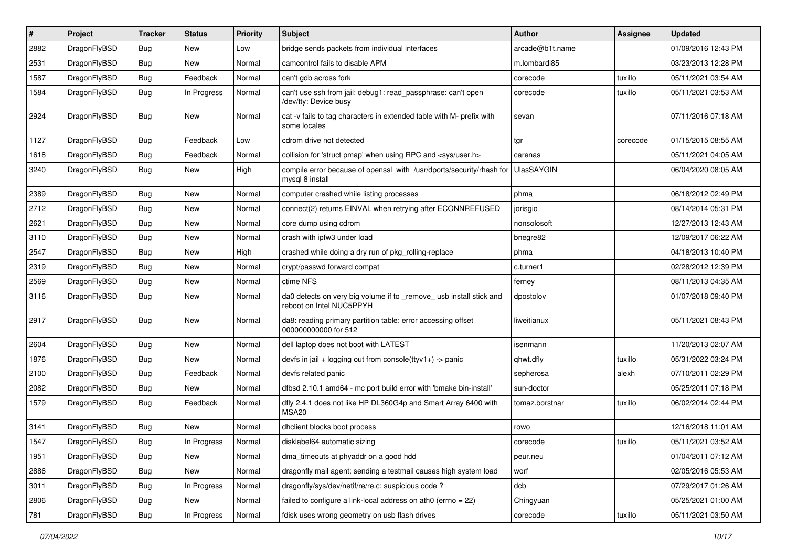| ∦    | Project      | <b>Tracker</b> | <b>Status</b> | <b>Priority</b> | <b>Subject</b>                                                                                  | <b>Author</b>     | <b>Assignee</b> | <b>Updated</b>      |
|------|--------------|----------------|---------------|-----------------|-------------------------------------------------------------------------------------------------|-------------------|-----------------|---------------------|
| 2882 | DragonFlyBSD | <b>Bug</b>     | <b>New</b>    | Low             | bridge sends packets from individual interfaces                                                 | arcade@b1t.name   |                 | 01/09/2016 12:43 PM |
| 2531 | DragonFlyBSD | <b>Bug</b>     | <b>New</b>    | Normal          | camcontrol fails to disable APM                                                                 | m.lombardi85      |                 | 03/23/2013 12:28 PM |
| 1587 | DragonFlyBSD | <b>Bug</b>     | Feedback      | Normal          | can't gdb across fork                                                                           | corecode          | tuxillo         | 05/11/2021 03:54 AM |
| 1584 | DragonFlyBSD | Bug            | In Progress   | Normal          | can't use ssh from jail: debug1: read_passphrase: can't open<br>/dev/tty: Device busy           | corecode          | tuxillo         | 05/11/2021 03:53 AM |
| 2924 | DragonFlyBSD | Bug            | New           | Normal          | cat -v fails to tag characters in extended table with M- prefix with<br>some locales            | sevan             |                 | 07/11/2016 07:18 AM |
| 1127 | DragonFlyBSD | <b>Bug</b>     | Feedback      | Low             | cdrom drive not detected                                                                        | tgr               | corecode        | 01/15/2015 08:55 AM |
| 1618 | DragonFlyBSD | <b>Bug</b>     | Feedback      | Normal          | collision for 'struct pmap' when using RPC and <sys user.h=""></sys>                            | carenas           |                 | 05/11/2021 04:05 AM |
| 3240 | DragonFlyBSD | Bug            | New           | High            | compile error because of openssl with /usr/dports/security/rhash for<br>mysql 8 install         | <b>UlasSAYGIN</b> |                 | 06/04/2020 08:05 AM |
| 2389 | DragonFlyBSD | Bug            | <b>New</b>    | Normal          | computer crashed while listing processes                                                        | phma              |                 | 06/18/2012 02:49 PM |
| 2712 | DragonFlyBSD | <b>Bug</b>     | <b>New</b>    | Normal          | connect(2) returns EINVAL when retrying after ECONNREFUSED                                      | jorisgio          |                 | 08/14/2014 05:31 PM |
| 2621 | DragonFlyBSD | Bug            | <b>New</b>    | Normal          | core dump using cdrom                                                                           | nonsolosoft       |                 | 12/27/2013 12:43 AM |
| 3110 | DragonFlyBSD | Bug            | <b>New</b>    | Normal          | crash with ipfw3 under load                                                                     | bnegre82          |                 | 12/09/2017 06:22 AM |
| 2547 | DragonFlyBSD | <b>Bug</b>     | New           | High            | crashed while doing a dry run of pkg rolling-replace                                            | phma              |                 | 04/18/2013 10:40 PM |
| 2319 | DragonFlyBSD | <b>Bug</b>     | <b>New</b>    | Normal          | crypt/passwd forward compat                                                                     | c.turner1         |                 | 02/28/2012 12:39 PM |
| 2569 | DragonFlyBSD | <b>Bug</b>     | <b>New</b>    | Normal          | ctime NFS                                                                                       | ferney            |                 | 08/11/2013 04:35 AM |
| 3116 | DragonFlyBSD | Bug            | <b>New</b>    | Normal          | da0 detects on very big volume if to _remove_ usb install stick and<br>reboot on Intel NUC5PPYH | dpostolov         |                 | 01/07/2018 09:40 PM |
| 2917 | DragonFlyBSD | Bug            | New           | Normal          | da8: reading primary partition table: error accessing offset<br>000000000000 for 512            | liweitianux       |                 | 05/11/2021 08:43 PM |
| 2604 | DragonFlyBSD | Bug            | <b>New</b>    | Normal          | dell laptop does not boot with LATEST                                                           | isenmann          |                 | 11/20/2013 02:07 AM |
| 1876 | DragonFlyBSD | <b>Bug</b>     | <b>New</b>    | Normal          | devfs in $ ail + logging$ out from console(ttyv1+) -> panic                                     | qhwt.dfly         | tuxillo         | 05/31/2022 03:24 PM |
| 2100 | DragonFlyBSD | <b>Bug</b>     | Feedback      | Normal          | devfs related panic                                                                             | sepherosa         | alexh           | 07/10/2011 02:29 PM |
| 2082 | DragonFlyBSD | <b>Bug</b>     | <b>New</b>    | Normal          | dfbsd 2.10.1 amd64 - mc port build error with 'bmake bin-install'                               | sun-doctor        |                 | 05/25/2011 07:18 PM |
| 1579 | DragonFlyBSD | <b>Bug</b>     | Feedback      | Normal          | dfly 2.4.1 does not like HP DL360G4p and Smart Array 6400 with<br><b>MSA20</b>                  | tomaz.borstnar    | tuxillo         | 06/02/2014 02:44 PM |
| 3141 | DragonFlyBSD | <b>Bug</b>     | <b>New</b>    | Normal          | dhclient blocks boot process                                                                    | rowo              |                 | 12/16/2018 11:01 AM |
| 1547 | DragonFlyBSD | Bug            | In Progress   | Normal          | disklabel64 automatic sizing                                                                    | corecode          | tuxillo         | 05/11/2021 03:52 AM |
| 1951 | DragonFlyBSD | Bug            | New           | Normal          | dma_timeouts at phyaddr on a good hdd                                                           | peur.neu          |                 | 01/04/2011 07:12 AM |
| 2886 | DragonFlyBSD | <b>Bug</b>     | New           | Normal          | dragonfly mail agent: sending a testmail causes high system load                                | worf              |                 | 02/05/2016 05:53 AM |
| 3011 | DragonFlyBSD | <b>Bug</b>     | In Progress   | Normal          | dragonfly/sys/dev/netif/re/re.c: suspicious code ?                                              | dcb               |                 | 07/29/2017 01:26 AM |
| 2806 | DragonFlyBSD | Bug            | New           | Normal          | failed to configure a link-local address on ath0 (errno = $22$ )                                | Chingyuan         |                 | 05/25/2021 01:00 AM |
| 781  | DragonFlyBSD | Bug            | In Progress   | Normal          | fdisk uses wrong geometry on usb flash drives                                                   | corecode          | tuxillo         | 05/11/2021 03:50 AM |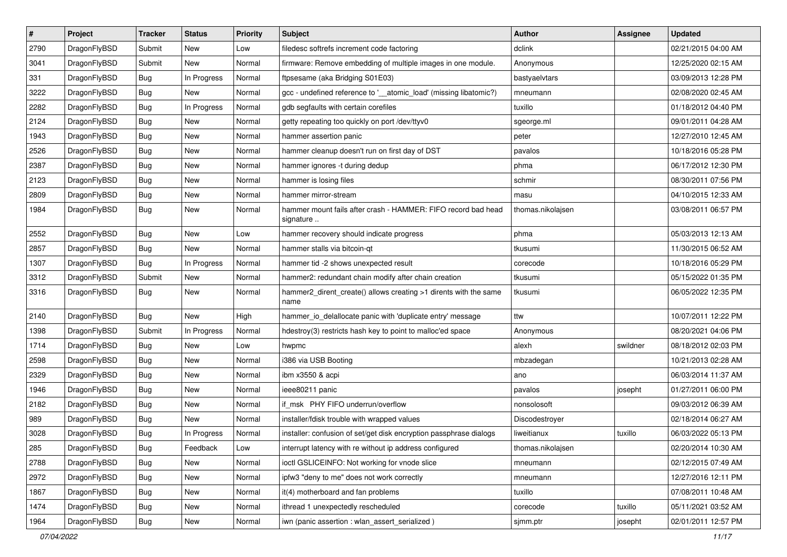| $\sharp$ | Project      | <b>Tracker</b> | <b>Status</b> | <b>Priority</b> | Subject                                                                    | <b>Author</b>     | Assignee | <b>Updated</b>      |
|----------|--------------|----------------|---------------|-----------------|----------------------------------------------------------------------------|-------------------|----------|---------------------|
| 2790     | DragonFlyBSD | Submit         | New           | Low             | filedesc softrefs increment code factoring                                 | dclink            |          | 02/21/2015 04:00 AM |
| 3041     | DragonFlyBSD | Submit         | <b>New</b>    | Normal          | firmware: Remove embedding of multiple images in one module.               | Anonymous         |          | 12/25/2020 02:15 AM |
| 331      | DragonFlyBSD | Bug            | In Progress   | Normal          | ftpsesame (aka Bridging S01E03)                                            | bastyaelvtars     |          | 03/09/2013 12:28 PM |
| 3222     | DragonFlyBSD | <b>Bug</b>     | New           | Normal          | gcc - undefined reference to '__atomic_load' (missing libatomic?)          | mneumann          |          | 02/08/2020 02:45 AM |
| 2282     | DragonFlyBSD | Bug            | In Progress   | Normal          | gdb segfaults with certain corefiles                                       | tuxillo           |          | 01/18/2012 04:40 PM |
| 2124     | DragonFlyBSD | <b>Bug</b>     | New           | Normal          | getty repeating too quickly on port /dev/ttyv0                             | sgeorge.ml        |          | 09/01/2011 04:28 AM |
| 1943     | DragonFlyBSD | Bug            | New           | Normal          | hammer assertion panic                                                     | peter             |          | 12/27/2010 12:45 AM |
| 2526     | DragonFlyBSD | <b>Bug</b>     | <b>New</b>    | Normal          | hammer cleanup doesn't run on first day of DST                             | pavalos           |          | 10/18/2016 05:28 PM |
| 2387     | DragonFlyBSD | <b>Bug</b>     | New           | Normal          | hammer ignores -t during dedup                                             | phma              |          | 06/17/2012 12:30 PM |
| 2123     | DragonFlyBSD | Bug            | <b>New</b>    | Normal          | hammer is losing files                                                     | schmir            |          | 08/30/2011 07:56 PM |
| 2809     | DragonFlyBSD | <b>Bug</b>     | New           | Normal          | hammer mirror-stream                                                       | masu              |          | 04/10/2015 12:33 AM |
| 1984     | DragonFlyBSD | <b>Bug</b>     | <b>New</b>    | Normal          | hammer mount fails after crash - HAMMER: FIFO record bad head<br>signature | thomas.nikolajsen |          | 03/08/2011 06:57 PM |
| 2552     | DragonFlyBSD | <b>Bug</b>     | <b>New</b>    | Low             | hammer recovery should indicate progress                                   | phma              |          | 05/03/2013 12:13 AM |
| 2857     | DragonFlyBSD | Bug            | New           | Normal          | hammer stalls via bitcoin-qt                                               | tkusumi           |          | 11/30/2015 06:52 AM |
| 1307     | DragonFlyBSD | Bug            | In Progress   | Normal          | hammer tid -2 shows unexpected result                                      | corecode          |          | 10/18/2016 05:29 PM |
| 3312     | DragonFlyBSD | Submit         | <b>New</b>    | Normal          | hammer2: redundant chain modify after chain creation                       | tkusumi           |          | 05/15/2022 01:35 PM |
| 3316     | DragonFlyBSD | Bug            | New           | Normal          | hammer2_dirent_create() allows creating >1 dirents with the same<br>name   | tkusumi           |          | 06/05/2022 12:35 PM |
| 2140     | DragonFlyBSD | Bug            | New           | High            | hammer_io_delallocate panic with 'duplicate entry' message                 | ttw               |          | 10/07/2011 12:22 PM |
| 1398     | DragonFlyBSD | Submit         | In Progress   | Normal          | hdestroy(3) restricts hash key to point to malloc'ed space                 | Anonymous         |          | 08/20/2021 04:06 PM |
| 1714     | DragonFlyBSD | Bug            | <b>New</b>    | Low             | hwpmc                                                                      | alexh             | swildner | 08/18/2012 02:03 PM |
| 2598     | DragonFlyBSD | Bug            | New           | Normal          | i386 via USB Booting                                                       | mbzadegan         |          | 10/21/2013 02:28 AM |
| 2329     | DragonFlyBSD | <b>Bug</b>     | <b>New</b>    | Normal          | ibm x3550 & acpi                                                           | ano               |          | 06/03/2014 11:37 AM |
| 1946     | DragonFlyBSD | <b>Bug</b>     | <b>New</b>    | Normal          | ieee80211 panic                                                            | pavalos           | josepht  | 01/27/2011 06:00 PM |
| 2182     | DragonFlyBSD | Bug            | New           | Normal          | if msk PHY FIFO underrun/overflow                                          | nonsolosoft       |          | 09/03/2012 06:39 AM |
| 989      | DragonFlyBSD | <b>Bug</b>     | New           | Normal          | installer/fdisk trouble with wrapped values                                | Discodestroyer    |          | 02/18/2014 06:27 AM |
| 3028     | DragonFlyBSD | Bug            | In Progress   | Normal          | installer: confusion of set/get disk encryption passphrase dialogs         | liweitianux       | tuxillo  | 06/03/2022 05:13 PM |
| 285      | DragonFlyBSD | <b>Bug</b>     | Feedback      | Low             | interrupt latency with re without ip address configured                    | thomas.nikolajsen |          | 02/20/2014 10:30 AM |
| 2788     | DragonFlyBSD | <b>Bug</b>     | <b>New</b>    | Normal          | ioctl GSLICEINFO: Not working for vnode slice                              | mneumann          |          | 02/12/2015 07:49 AM |
| 2972     | DragonFlyBSD | <b>Bug</b>     | <b>New</b>    | Normal          | ipfw3 "deny to me" does not work correctly                                 | mneumann          |          | 12/27/2016 12:11 PM |
| 1867     | DragonFlyBSD | <b>Bug</b>     | New           | Normal          | it(4) motherboard and fan problems                                         | tuxillo           |          | 07/08/2011 10:48 AM |
| 1474     | DragonFlyBSD | <b>Bug</b>     | New           | Normal          | ithread 1 unexpectedly rescheduled                                         | corecode          | tuxillo  | 05/11/2021 03:52 AM |
| 1964     | DragonFlyBSD | <b>Bug</b>     | New           | Normal          | iwn (panic assertion : wlan assert serialized)                             | sjmm.ptr          | josepht  | 02/01/2011 12:57 PM |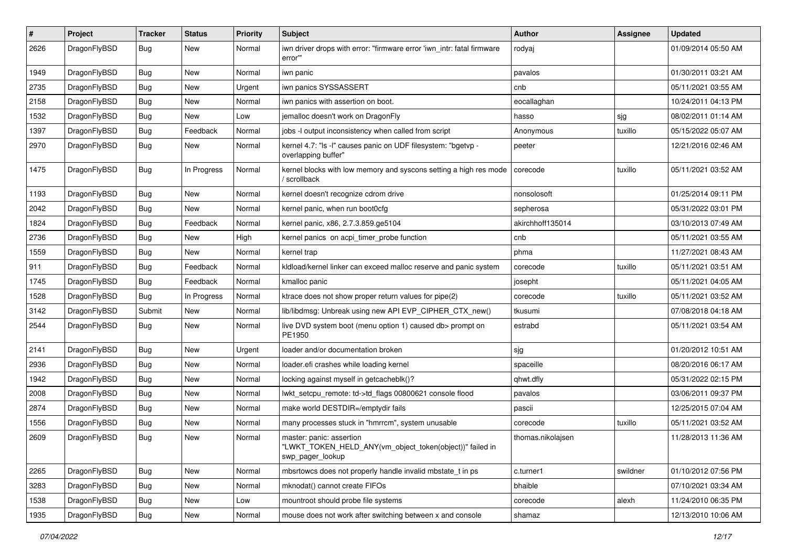| $\pmb{\#}$ | Project      | <b>Tracker</b> | <b>Status</b> | <b>Priority</b> | Subject                                                                                                  | Author            | Assignee | <b>Updated</b>      |
|------------|--------------|----------------|---------------|-----------------|----------------------------------------------------------------------------------------------------------|-------------------|----------|---------------------|
| 2626       | DragonFlyBSD | Bug            | New           | Normal          | iwn driver drops with error: "firmware error 'iwn intr: fatal firmware<br>error'"                        | rodyaj            |          | 01/09/2014 05:50 AM |
| 1949       | DragonFlyBSD | <b>Bug</b>     | <b>New</b>    | Normal          | iwn panic                                                                                                | pavalos           |          | 01/30/2011 03:21 AM |
| 2735       | DragonFlyBSD | Bug            | New           | Urgent          | iwn panics SYSSASSERT                                                                                    | cnb               |          | 05/11/2021 03:55 AM |
| 2158       | DragonFlyBSD | <b>Bug</b>     | New           | Normal          | iwn panics with assertion on boot.                                                                       | eocallaghan       |          | 10/24/2011 04:13 PM |
| 1532       | DragonFlyBSD | <b>Bug</b>     | New           | Low             | jemalloc doesn't work on DragonFly                                                                       | hasso             | sjg      | 08/02/2011 01:14 AM |
| 1397       | DragonFlyBSD | Bug            | Feedback      | Normal          | jobs -I output inconsistency when called from script                                                     | Anonymous         | tuxillo  | 05/15/2022 05:07 AM |
| 2970       | DragonFlyBSD | Bug            | New           | Normal          | kernel 4.7: "Is -I" causes panic on UDF filesystem: "bgetvp -<br>overlapping buffer"                     | peeter            |          | 12/21/2016 02:46 AM |
| 1475       | DragonFlyBSD | <b>Bug</b>     | In Progress   | Normal          | kernel blocks with low memory and syscons setting a high res mode<br>' scrollback                        | corecode          | tuxillo  | 05/11/2021 03:52 AM |
| 1193       | DragonFlyBSD | Bug            | <b>New</b>    | Normal          | kernel doesn't recognize cdrom drive                                                                     | nonsolosoft       |          | 01/25/2014 09:11 PM |
| 2042       | DragonFlyBSD | <b>Bug</b>     | New           | Normal          | kernel panic, when run boot0cfg                                                                          | sepherosa         |          | 05/31/2022 03:01 PM |
| 1824       | DragonFlyBSD | <b>Bug</b>     | Feedback      | Normal          | kernel panic, x86, 2.7.3.859.ge5104                                                                      | akirchhoff135014  |          | 03/10/2013 07:49 AM |
| 2736       | DragonFlyBSD | <b>Bug</b>     | <b>New</b>    | High            | kernel panics on acpi_timer_probe function                                                               | cnb               |          | 05/11/2021 03:55 AM |
| 1559       | DragonFlyBSD | <b>Bug</b>     | New           | Normal          | kernel trap                                                                                              | phma              |          | 11/27/2021 08:43 AM |
| 911        | DragonFlyBSD | <b>Bug</b>     | Feedback      | Normal          | kldload/kernel linker can exceed malloc reserve and panic system                                         | corecode          | tuxillo  | 05/11/2021 03:51 AM |
| 1745       | DragonFlyBSD | <b>Bug</b>     | Feedback      | Normal          | kmalloc panic                                                                                            | josepht           |          | 05/11/2021 04:05 AM |
| 1528       | DragonFlyBSD | <b>Bug</b>     | In Progress   | Normal          | ktrace does not show proper return values for pipe(2)                                                    | corecode          | tuxillo  | 05/11/2021 03:52 AM |
| 3142       | DragonFlyBSD | Submit         | <b>New</b>    | Normal          | lib/libdmsg: Unbreak using new API EVP_CIPHER_CTX_new()                                                  | tkusumi           |          | 07/08/2018 04:18 AM |
| 2544       | DragonFlyBSD | Bug            | New           | Normal          | live DVD system boot (menu option 1) caused db> prompt on<br>PE1950                                      | estrabd           |          | 05/11/2021 03:54 AM |
| 2141       | DragonFlyBSD | <b>Bug</b>     | <b>New</b>    | Urgent          | loader and/or documentation broken                                                                       | sjg               |          | 01/20/2012 10:51 AM |
| 2936       | DragonFlyBSD | <b>Bug</b>     | New           | Normal          | loader.efi crashes while loading kernel                                                                  | spaceille         |          | 08/20/2016 06:17 AM |
| 1942       | DragonFlyBSD | Bug            | New           | Normal          | locking against myself in getcacheblk()?                                                                 | qhwt.dfly         |          | 05/31/2022 02:15 PM |
| 2008       | DragonFlyBSD | <b>Bug</b>     | <b>New</b>    | Normal          | lwkt_setcpu_remote: td->td_flags 00800621 console flood                                                  | pavalos           |          | 03/06/2011 09:37 PM |
| 2874       | DragonFlyBSD | <b>Bug</b>     | New           | Normal          | make world DESTDIR=/emptydir fails                                                                       | pascii            |          | 12/25/2015 07:04 AM |
| 1556       | DragonFlyBSD | Bug            | <b>New</b>    | Normal          | many processes stuck in "hmrrcm", system unusable                                                        | corecode          | tuxillo  | 05/11/2021 03:52 AM |
| 2609       | DragonFlyBSD | <b>Bug</b>     | New           | Normal          | master: panic: assertion<br>'LWKT_TOKEN_HELD_ANY(vm_object_token(object))" failed in<br>swp_pager_lookup | thomas.nikolajsen |          | 11/28/2013 11:36 AM |
| 2265       | DragonFlyBSD | <b>Bug</b>     | New           | Normal          | mbsrtowcs does not properly handle invalid mbstate_t in ps                                               | c.turner1         | swildner | 01/10/2012 07:56 PM |
| 3283       | DragonFlyBSD | <b>Bug</b>     | New           | Normal          | mknodat() cannot create FIFOs                                                                            | bhaible           |          | 07/10/2021 03:34 AM |
| 1538       | DragonFlyBSD | Bug            | New           | Low             | mountroot should probe file systems                                                                      | corecode          | alexh    | 11/24/2010 06:35 PM |
| 1935       | DragonFlyBSD | <b>Bug</b>     | New           | Normal          | mouse does not work after switching between x and console                                                | shamaz            |          | 12/13/2010 10:06 AM |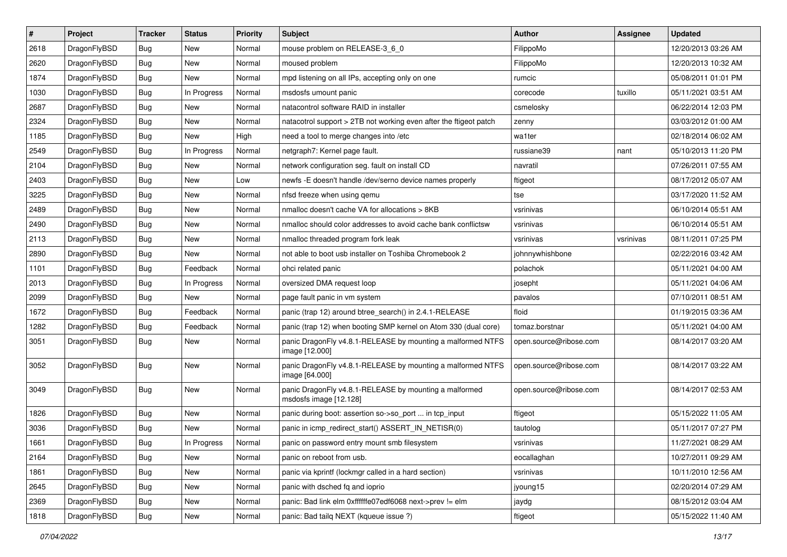| $\sharp$ | Project      | <b>Tracker</b> | <b>Status</b> | <b>Priority</b> | Subject                                                                          | Author                 | <b>Assignee</b> | <b>Updated</b>      |
|----------|--------------|----------------|---------------|-----------------|----------------------------------------------------------------------------------|------------------------|-----------------|---------------------|
| 2618     | DragonFlyBSD | <b>Bug</b>     | New           | Normal          | mouse problem on RELEASE-3_6_0                                                   | FilippoMo              |                 | 12/20/2013 03:26 AM |
| 2620     | DragonFlyBSD | Bug            | New           | Normal          | moused problem                                                                   | FilippoMo              |                 | 12/20/2013 10:32 AM |
| 1874     | DragonFlyBSD | <b>Bug</b>     | New           | Normal          | mpd listening on all IPs, accepting only on one                                  | rumcic                 |                 | 05/08/2011 01:01 PM |
| 1030     | DragonFlyBSD | <b>Bug</b>     | In Progress   | Normal          | msdosfs umount panic                                                             | corecode               | tuxillo         | 05/11/2021 03:51 AM |
| 2687     | DragonFlyBSD | Bug            | <b>New</b>    | Normal          | natacontrol software RAID in installer                                           | csmelosky              |                 | 06/22/2014 12:03 PM |
| 2324     | DragonFlyBSD | <b>Bug</b>     | <b>New</b>    | Normal          | natacotrol support > 2TB not working even after the ftigeot patch                | zenny                  |                 | 03/03/2012 01:00 AM |
| 1185     | DragonFlyBSD | <b>Bug</b>     | <b>New</b>    | High            | need a tool to merge changes into /etc                                           | wa1ter                 |                 | 02/18/2014 06:02 AM |
| 2549     | DragonFlyBSD | <b>Bug</b>     | In Progress   | Normal          | netgraph7: Kernel page fault.                                                    | russiane39             | nant            | 05/10/2013 11:20 PM |
| 2104     | DragonFlyBSD | <b>Bug</b>     | New           | Normal          | network configuration seg. fault on install CD                                   | navratil               |                 | 07/26/2011 07:55 AM |
| 2403     | DragonFlyBSD | Bug            | New           | Low             | newfs - E doesn't handle /dev/serno device names properly                        | ftigeot                |                 | 08/17/2012 05:07 AM |
| 3225     | DragonFlyBSD | <b>Bug</b>     | New           | Normal          | nfsd freeze when using gemu                                                      | tse                    |                 | 03/17/2020 11:52 AM |
| 2489     | DragonFlyBSD | <b>Bug</b>     | <b>New</b>    | Normal          | nmalloc doesn't cache VA for allocations > 8KB                                   | vsrinivas              |                 | 06/10/2014 05:51 AM |
| 2490     | DragonFlyBSD | <b>Bug</b>     | New           | Normal          | nmalloc should color addresses to avoid cache bank conflictsw                    | vsrinivas              |                 | 06/10/2014 05:51 AM |
| 2113     | DragonFlyBSD | <b>Bug</b>     | New           | Normal          | nmalloc threaded program fork leak                                               | vsrinivas              | vsrinivas       | 08/11/2011 07:25 PM |
| 2890     | DragonFlyBSD | Bug            | New           | Normal          | not able to boot usb installer on Toshiba Chromebook 2                           | johnnywhishbone        |                 | 02/22/2016 03:42 AM |
| 1101     | DragonFlyBSD | <b>Bug</b>     | Feedback      | Normal          | ohci related panic                                                               | polachok               |                 | 05/11/2021 04:00 AM |
| 2013     | DragonFlyBSD | <b>Bug</b>     | In Progress   | Normal          | oversized DMA request loop                                                       | josepht                |                 | 05/11/2021 04:06 AM |
| 2099     | DragonFlyBSD | <b>Bug</b>     | <b>New</b>    | Normal          | page fault panic in vm system                                                    | pavalos                |                 | 07/10/2011 08:51 AM |
| 1672     | DragonFlyBSD | <b>Bug</b>     | Feedback      | Normal          | panic (trap 12) around btree_search() in 2.4.1-RELEASE                           | floid                  |                 | 01/19/2015 03:36 AM |
| 1282     | DragonFlyBSD | Bug            | Feedback      | Normal          | panic (trap 12) when booting SMP kernel on Atom 330 (dual core)                  | tomaz.borstnar         |                 | 05/11/2021 04:00 AM |
| 3051     | DragonFlyBSD | <b>Bug</b>     | New           | Normal          | panic DragonFly v4.8.1-RELEASE by mounting a malformed NTFS<br>image [12.000]    | open.source@ribose.com |                 | 08/14/2017 03:20 AM |
| 3052     | DragonFlyBSD | <b>Bug</b>     | New           | Normal          | panic DragonFly v4.8.1-RELEASE by mounting a malformed NTFS<br>image [64.000]    | open.source@ribose.com |                 | 08/14/2017 03:22 AM |
| 3049     | DragonFlyBSD | Bug            | New           | Normal          | panic DragonFly v4.8.1-RELEASE by mounting a malformed<br>msdosfs image [12.128] | open.source@ribose.com |                 | 08/14/2017 02:53 AM |
| 1826     | DragonFlyBSD | Bug            | <b>New</b>    | Normal          | panic during boot: assertion so->so_port  in tcp_input                           | ftigeot                |                 | 05/15/2022 11:05 AM |
| 3036     | DragonFlyBSD | <b>Bug</b>     | <b>New</b>    | Normal          | panic in icmp_redirect_start() ASSERT_IN_NETISR(0)                               | tautolog               |                 | 05/11/2017 07:27 PM |
| 1661     | DragonFlyBSD | Bug            | In Progress   | Normal          | panic on password entry mount smb filesystem                                     | vsrinivas              |                 | 11/27/2021 08:29 AM |
| 2164     | DragonFlyBSD | <b>Bug</b>     | New           | Normal          | panic on reboot from usb.                                                        | eocallaghan            |                 | 10/27/2011 09:29 AM |
| 1861     | DragonFlyBSD | <b>Bug</b>     | <b>New</b>    | Normal          | panic via kprintf (lockmgr called in a hard section)                             | vsrinivas              |                 | 10/11/2010 12:56 AM |
| 2645     | DragonFlyBSD | <b>Bug</b>     | New           | Normal          | panic with dsched fq and ioprio                                                  | jyoung15               |                 | 02/20/2014 07:29 AM |
| 2369     | DragonFlyBSD | <b>Bug</b>     | New           | Normal          | panic: Bad link elm 0xffffffe07edf6068 next->prev != elm                         | jaydg                  |                 | 08/15/2012 03:04 AM |
| 1818     | DragonFlyBSD | <b>Bug</b>     | New           | Normal          | panic: Bad tailq NEXT (kqueue issue ?)                                           | ftigeot                |                 | 05/15/2022 11:40 AM |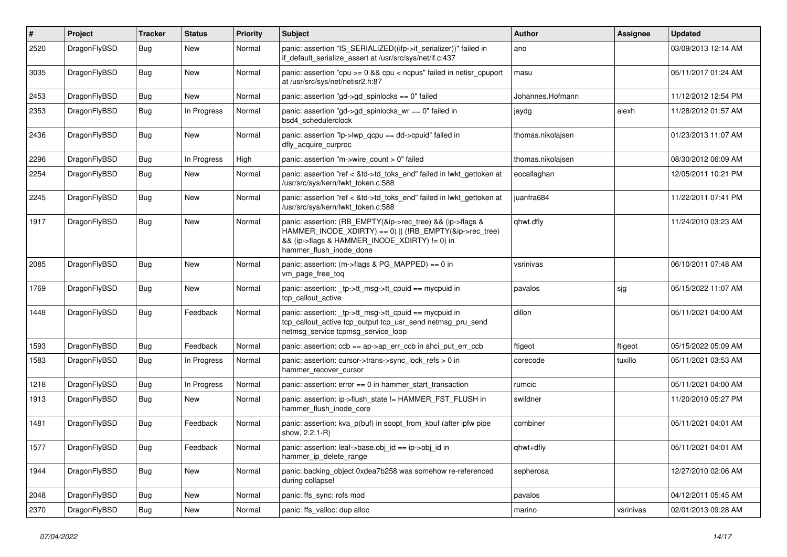| $\pmb{\#}$ | Project      | <b>Tracker</b> | <b>Status</b> | <b>Priority</b> | Subject                                                                                                                                                                                           | Author            | Assignee  | <b>Updated</b>      |
|------------|--------------|----------------|---------------|-----------------|---------------------------------------------------------------------------------------------------------------------------------------------------------------------------------------------------|-------------------|-----------|---------------------|
| 2520       | DragonFlyBSD | Bug            | New           | Normal          | panic: assertion "IS_SERIALIZED((ifp->if_serializer))" failed in<br>if_default_serialize_assert at /usr/src/sys/net/if.c:437                                                                      | ano               |           | 03/09/2013 12:14 AM |
| 3035       | DragonFlyBSD | <b>Bug</b>     | <b>New</b>    | Normal          | panic: assertion "cpu >= 0 && cpu < ncpus" failed in netisr_cpuport<br>at /usr/src/sys/net/netisr2.h:87                                                                                           | masu              |           | 05/11/2017 01:24 AM |
| 2453       | DragonFlyBSD | <b>Bug</b>     | New           | Normal          | panic: assertion "gd->gd_spinlocks == 0" failed                                                                                                                                                   | Johannes.Hofmann  |           | 11/12/2012 12:54 PM |
| 2353       | DragonFlyBSD | <b>Bug</b>     | In Progress   | Normal          | panic: assertion "gd->gd_spinlocks_wr == 0" failed in<br>bsd4_schedulerclock                                                                                                                      | jaydg             | alexh     | 11/28/2012 01:57 AM |
| 2436       | DragonFlyBSD | <b>Bug</b>     | New           | Normal          | panic: assertion "lp->lwp_qcpu == dd->cpuid" failed in<br>dfly_acquire_curproc                                                                                                                    | thomas.nikolajsen |           | 01/23/2013 11:07 AM |
| 2296       | DragonFlyBSD | Bug            | In Progress   | High            | panic: assertion "m->wire_count > 0" failed                                                                                                                                                       | thomas.nikolajsen |           | 08/30/2012 06:09 AM |
| 2254       | DragonFlyBSD | <b>Bug</b>     | New           | Normal          | panic: assertion "ref < &td->td_toks_end" failed in lwkt_gettoken at<br>/usr/src/sys/kern/lwkt_token.c:588                                                                                        | eocallaghan       |           | 12/05/2011 10:21 PM |
| 2245       | DragonFlyBSD | <b>Bug</b>     | New           | Normal          | panic: assertion "ref < &td->td_toks_end" failed in lwkt_gettoken at<br>/usr/src/sys/kern/lwkt_token.c:588                                                                                        | juanfra684        |           | 11/22/2011 07:41 PM |
| 1917       | DragonFlyBSD | <b>Bug</b>     | New           | Normal          | panic: assertion: (RB_EMPTY(&ip->rec_tree) && (ip->flags &<br>HAMMER_INODE_XDIRTY) == 0)    (!RB_EMPTY(&ip->rec_tree)<br>&& (ip->flags & HAMMER_INODE_XDIRTY) != 0) in<br>hammer flush inode done | qhwt.dfly         |           | 11/24/2010 03:23 AM |
| 2085       | DragonFlyBSD | <b>Bug</b>     | New           | Normal          | panic: assertion: (m->flags & PG_MAPPED) == 0 in<br>vm page free tog                                                                                                                              | vsrinivas         |           | 06/10/2011 07:48 AM |
| 1769       | DragonFlyBSD | Bug            | <b>New</b>    | Normal          | panic: assertion: _tp->tt_msg->tt_cpuid == mycpuid in<br>tcp_callout_active                                                                                                                       | pavalos           | sjg       | 05/15/2022 11:07 AM |
| 1448       | DragonFlyBSD | Bug            | Feedback      | Normal          | panic: assertion: _tp->tt_msg->tt_cpuid == mycpuid in<br>tcp_callout_active tcp_output tcp_usr_send netmsg_pru_send<br>netmsg_service tcpmsg_service_loop                                         | dillon            |           | 05/11/2021 04:00 AM |
| 1593       | DragonFlyBSD | Bug            | Feedback      | Normal          | panic: assertion: $\cosh ==$ ap->ap err $\cosh$ in ahci put err $\cosh$                                                                                                                           | ftigeot           | ftigeot   | 05/15/2022 05:09 AM |
| 1583       | DragonFlyBSD | <b>Bug</b>     | In Progress   | Normal          | panic: assertion: cursor->trans->sync_lock_refs > 0 in<br>hammer_recover_cursor                                                                                                                   | corecode          | tuxillo   | 05/11/2021 03:53 AM |
| 1218       | DragonFlyBSD | Bug            | In Progress   | Normal          | panic: assertion: $error == 0$ in hammer start transaction                                                                                                                                        | rumcic            |           | 05/11/2021 04:00 AM |
| 1913       | DragonFlyBSD | Bug            | New           | Normal          | panic: assertion: ip->flush_state != HAMMER_FST_FLUSH in<br>hammer_flush_inode_core                                                                                                               | swildner          |           | 11/20/2010 05:27 PM |
| 1481       | DragonFlyBSD | <b>Bug</b>     | Feedback      | Normal          | panic: assertion: kva_p(buf) in soopt_from_kbuf (after ipfw pipe<br>show, 2.2.1-R)                                                                                                                | combiner          |           | 05/11/2021 04:01 AM |
| 1577       | DragonFlyBSD | Bug            | Feedback      | Normal          | panic: assertion: leaf->base.obj_id == ip->obj_id in<br>hammer ip delete range                                                                                                                    | qhwt+dfly         |           | 05/11/2021 04:01 AM |
| 1944       | DragonFlyBSD | <b>Bug</b>     | New           | Normal          | panic: backing object 0xdea7b258 was somehow re-referenced<br>during collapse!                                                                                                                    | sepherosa         |           | 12/27/2010 02:06 AM |
| 2048       | DragonFlyBSD | <b>Bug</b>     | New           | Normal          | panic: ffs_sync: rofs mod                                                                                                                                                                         | pavalos           |           | 04/12/2011 05:45 AM |
| 2370       | DragonFlyBSD | <b>Bug</b>     | New           | Normal          | panic: ffs_valloc: dup alloc                                                                                                                                                                      | marino            | vsrinivas | 02/01/2013 09:28 AM |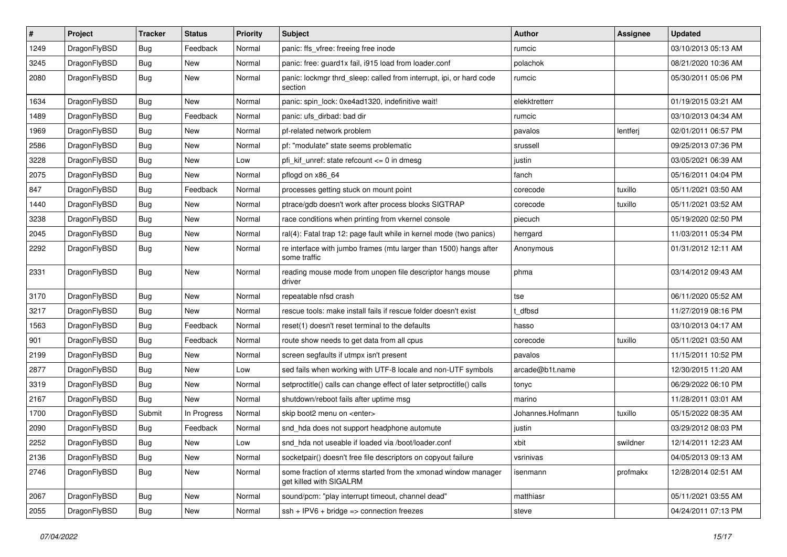| $\sharp$ | Project      | <b>Tracker</b> | <b>Status</b> | <b>Priority</b> | Subject                                                                                   | Author           | Assignee | <b>Updated</b>      |
|----------|--------------|----------------|---------------|-----------------|-------------------------------------------------------------------------------------------|------------------|----------|---------------------|
| 1249     | DragonFlyBSD | <b>Bug</b>     | Feedback      | Normal          | panic: ffs_vfree: freeing free inode                                                      | rumcic           |          | 03/10/2013 05:13 AM |
| 3245     | DragonFlyBSD | <b>Bug</b>     | New           | Normal          | panic: free: guard1x fail, i915 load from loader.conf                                     | polachok         |          | 08/21/2020 10:36 AM |
| 2080     | DragonFlyBSD | <b>Bug</b>     | New           | Normal          | panic: lockmgr thrd sleep: called from interrupt, ipi, or hard code<br>section            | rumcic           |          | 05/30/2011 05:06 PM |
| 1634     | DragonFlyBSD | <b>Bug</b>     | New           | Normal          | panic: spin lock: 0xe4ad1320, indefinitive wait!                                          | elekktretterr    |          | 01/19/2015 03:21 AM |
| 1489     | DragonFlyBSD | <b>Bug</b>     | Feedback      | Normal          | panic: ufs_dirbad: bad dir                                                                | rumcic           |          | 03/10/2013 04:34 AM |
| 1969     | DragonFlyBSD | <b>Bug</b>     | <b>New</b>    | Normal          | pf-related network problem                                                                | pavalos          | lentferj | 02/01/2011 06:57 PM |
| 2586     | DragonFlyBSD | <b>Bug</b>     | <b>New</b>    | Normal          | pf: "modulate" state seems problematic                                                    | srussell         |          | 09/25/2013 07:36 PM |
| 3228     | DragonFlyBSD | <b>Bug</b>     | New           | Low             | pfi kif unref: state refcount $\leq$ 0 in dmesg                                           | justin           |          | 03/05/2021 06:39 AM |
| 2075     | DragonFlyBSD | <b>Bug</b>     | <b>New</b>    | Normal          | pflogd on x86_64                                                                          | fanch            |          | 05/16/2011 04:04 PM |
| 847      | DragonFlyBSD | Bug            | Feedback      | Normal          | processes getting stuck on mount point                                                    | corecode         | tuxillo  | 05/11/2021 03:50 AM |
| 1440     | DragonFlyBSD | <b>Bug</b>     | New           | Normal          | ptrace/gdb doesn't work after process blocks SIGTRAP                                      | corecode         | tuxillo  | 05/11/2021 03:52 AM |
| 3238     | DragonFlyBSD | <b>Bug</b>     | <b>New</b>    | Normal          | race conditions when printing from vkernel console                                        | piecuch          |          | 05/19/2020 02:50 PM |
| 2045     | DragonFlyBSD | <b>Bug</b>     | New           | Normal          | ral(4): Fatal trap 12: page fault while in kernel mode (two panics)                       | herrgard         |          | 11/03/2011 05:34 PM |
| 2292     | DragonFlyBSD | <b>Bug</b>     | New           | Normal          | re interface with jumbo frames (mtu larger than 1500) hangs after<br>some traffic         | Anonymous        |          | 01/31/2012 12:11 AM |
| 2331     | DragonFlyBSD | Bug            | <b>New</b>    | Normal          | reading mouse mode from unopen file descriptor hangs mouse<br>driver                      | phma             |          | 03/14/2012 09:43 AM |
| 3170     | DragonFlyBSD | Bug            | New           | Normal          | repeatable nfsd crash                                                                     | tse              |          | 06/11/2020 05:52 AM |
| 3217     | DragonFlyBSD | Bug            | New           | Normal          | rescue tools: make install fails if rescue folder doesn't exist                           | t_dfbsd          |          | 11/27/2019 08:16 PM |
| 1563     | DragonFlyBSD | Bug            | Feedback      | Normal          | reset(1) doesn't reset terminal to the defaults                                           | hasso            |          | 03/10/2013 04:17 AM |
| 901      | DragonFlyBSD | <b>Bug</b>     | Feedback      | Normal          | route show needs to get data from all cpus                                                | corecode         | tuxillo  | 05/11/2021 03:50 AM |
| 2199     | DragonFlyBSD | Bug            | New           | Normal          | screen segfaults if utmpx isn't present                                                   | pavalos          |          | 11/15/2011 10:52 PM |
| 2877     | DragonFlyBSD | <b>Bug</b>     | New           | Low             | sed fails when working with UTF-8 locale and non-UTF symbols                              | arcade@b1t.name  |          | 12/30/2015 11:20 AM |
| 3319     | DragonFlyBSD | Bug            | <b>New</b>    | Normal          | setproctitle() calls can change effect of later setproctitle() calls                      | tonyc            |          | 06/29/2022 06:10 PM |
| 2167     | DragonFlyBSD | Bug            | New           | Normal          | shutdown/reboot fails after uptime msg                                                    | marino           |          | 11/28/2011 03:01 AM |
| 1700     | DragonFlyBSD | Submit         | In Progress   | Normal          | skip boot2 menu on <enter></enter>                                                        | Johannes.Hofmann | tuxillo  | 05/15/2022 08:35 AM |
| 2090     | DragonFlyBSD | Bug            | Feedback      | Normal          | snd_hda does not support headphone automute                                               | justin           |          | 03/29/2012 08:03 PM |
| 2252     | DragonFlyBSD | Bug            | New           | Low             | snd hda not useable if loaded via /boot/loader.conf                                       | xbit             | swildner | 12/14/2011 12:23 AM |
| 2136     | DragonFlyBSD | Bug            | <b>New</b>    | Normal          | socketpair() doesn't free file descriptors on copyout failure                             | vsrinivas        |          | 04/05/2013 09:13 AM |
| 2746     | DragonFlyBSD | <b>Bug</b>     | New           | Normal          | some fraction of xterms started from the xmonad window manager<br>get killed with SIGALRM | isenmann         | profmakx | 12/28/2014 02:51 AM |
| 2067     | DragonFlyBSD | <b>Bug</b>     | New           | Normal          | sound/pcm: "play interrupt timeout, channel dead"                                         | matthiasr        |          | 05/11/2021 03:55 AM |
| 2055     | DragonFlyBSD | <b>Bug</b>     | New           | Normal          | $ssh + IPV6 + bridge \Rightarrow$ connection freezes                                      | steve            |          | 04/24/2011 07:13 PM |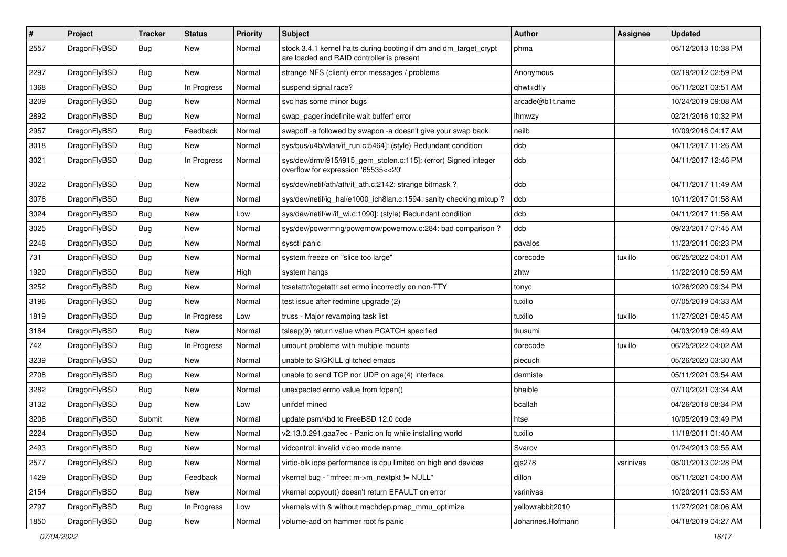| $\sharp$ | Project      | <b>Tracker</b> | <b>Status</b> | <b>Priority</b> | Subject                                                                                                        | <b>Author</b>    | <b>Assignee</b> | <b>Updated</b>      |
|----------|--------------|----------------|---------------|-----------------|----------------------------------------------------------------------------------------------------------------|------------------|-----------------|---------------------|
| 2557     | DragonFlyBSD | Bug            | New           | Normal          | stock 3.4.1 kernel halts during booting if dm and dm_target_crypt<br>are loaded and RAID controller is present | phma             |                 | 05/12/2013 10:38 PM |
| 2297     | DragonFlyBSD | Bug            | New           | Normal          | strange NFS (client) error messages / problems                                                                 | Anonymous        |                 | 02/19/2012 02:59 PM |
| 1368     | DragonFlyBSD | <b>Bug</b>     | In Progress   | Normal          | suspend signal race?                                                                                           | qhwt+dfly        |                 | 05/11/2021 03:51 AM |
| 3209     | DragonFlyBSD | <b>Bug</b>     | New           | Normal          | svc has some minor bugs                                                                                        | arcade@b1t.name  |                 | 10/24/2019 09:08 AM |
| 2892     | DragonFlyBSD | <b>Bug</b>     | New           | Normal          | swap pager:indefinite wait bufferf error                                                                       | Ihmwzy           |                 | 02/21/2016 10:32 PM |
| 2957     | DragonFlyBSD | <b>Bug</b>     | Feedback      | Normal          | swapoff -a followed by swapon -a doesn't give your swap back                                                   | neilb            |                 | 10/09/2016 04:17 AM |
| 3018     | DragonFlyBSD | <b>Bug</b>     | New           | Normal          | sys/bus/u4b/wlan/if_run.c:5464]: (style) Redundant condition                                                   | dcb              |                 | 04/11/2017 11:26 AM |
| 3021     | DragonFlyBSD | <b>Bug</b>     | In Progress   | Normal          | sys/dev/drm/i915/i915_gem_stolen.c:115]: (error) Signed integer<br>overflow for expression '65535<<20'         | dcb              |                 | 04/11/2017 12:46 PM |
| 3022     | DragonFlyBSD | <b>Bug</b>     | New           | Normal          | sys/dev/netif/ath/ath/if ath.c:2142: strange bitmask?                                                          | dcb              |                 | 04/11/2017 11:49 AM |
| 3076     | DragonFlyBSD | <b>Bug</b>     | <b>New</b>    | Normal          | sys/dev/netif/ig_hal/e1000_ich8lan.c:1594: sanity checking mixup?                                              | dcb              |                 | 10/11/2017 01:58 AM |
| 3024     | DragonFlyBSD | <b>Bug</b>     | New           | Low             | sys/dev/netif/wi/if_wi.c:1090]: (style) Redundant condition                                                    | dcb              |                 | 04/11/2017 11:56 AM |
| 3025     | DragonFlyBSD | <b>Bug</b>     | New           | Normal          | sys/dev/powermng/powernow/powernow.c:284: bad comparison?                                                      | dcb              |                 | 09/23/2017 07:45 AM |
| 2248     | DragonFlyBSD | <b>Bug</b>     | New           | Normal          | sysctl panic                                                                                                   | pavalos          |                 | 11/23/2011 06:23 PM |
| 731      | DragonFlyBSD | <b>Bug</b>     | New           | Normal          | system freeze on "slice too large"                                                                             | corecode         | tuxillo         | 06/25/2022 04:01 AM |
| 1920     | DragonFlyBSD | <b>Bug</b>     | New           | High            | system hangs                                                                                                   | zhtw             |                 | 11/22/2010 08:59 AM |
| 3252     | DragonFlyBSD | <b>Bug</b>     | New           | Normal          | tcsetattr/tcgetattr set errno incorrectly on non-TTY                                                           | tonyc            |                 | 10/26/2020 09:34 PM |
| 3196     | DragonFlyBSD | <b>Bug</b>     | New           | Normal          | test issue after redmine upgrade (2)                                                                           | tuxillo          |                 | 07/05/2019 04:33 AM |
| 1819     | DragonFlyBSD | <b>Bug</b>     | In Progress   | Low             | truss - Major revamping task list                                                                              | tuxillo          | tuxillo         | 11/27/2021 08:45 AM |
| 3184     | DragonFlyBSD | <b>Bug</b>     | New           | Normal          | tsleep(9) return value when PCATCH specified                                                                   | tkusumi          |                 | 04/03/2019 06:49 AM |
| 742      | DragonFlyBSD | <b>Bug</b>     | In Progress   | Normal          | umount problems with multiple mounts                                                                           | corecode         | tuxillo         | 06/25/2022 04:02 AM |
| 3239     | DragonFlyBSD | <b>Bug</b>     | New           | Normal          | unable to SIGKILL glitched emacs                                                                               | piecuch          |                 | 05/26/2020 03:30 AM |
| 2708     | DragonFlyBSD | <b>Bug</b>     | New           | Normal          | unable to send TCP nor UDP on age(4) interface                                                                 | dermiste         |                 | 05/11/2021 03:54 AM |
| 3282     | DragonFlyBSD | <b>Bug</b>     | <b>New</b>    | Normal          | unexpected errno value from fopen()                                                                            | bhaible          |                 | 07/10/2021 03:34 AM |
| 3132     | DragonFlyBSD | <b>Bug</b>     | New           | Low             | unifdef mined                                                                                                  | bcallah          |                 | 04/26/2018 08:34 PM |
| 3206     | DragonFlyBSD | Submit         | <b>New</b>    | Normal          | update psm/kbd to FreeBSD 12.0 code                                                                            | htse             |                 | 10/05/2019 03:49 PM |
| 2224     | DragonFlyBSD | <b>Bug</b>     | New           | Normal          | v2.13.0.291.gaa7ec - Panic on fq while installing world                                                        | tuxillo          |                 | 11/18/2011 01:40 AM |
| 2493     | DragonFlyBSD | <b>Bug</b>     | New           | Normal          | vidcontrol: invalid video mode name                                                                            | Svarov           |                 | 01/24/2013 09:55 AM |
| 2577     | DragonFlyBSD | <b>Bug</b>     | New           | Normal          | virtio-blk iops performance is cpu limited on high end devices                                                 | gjs278           | vsrinivas       | 08/01/2013 02:28 PM |
| 1429     | DragonFlyBSD | <b>Bug</b>     | Feedback      | Normal          | vkernel bug - "mfree: m->m nextpkt != NULL"                                                                    | dillon           |                 | 05/11/2021 04:00 AM |
| 2154     | DragonFlyBSD | <b>Bug</b>     | New           | Normal          | vkernel copyout() doesn't return EFAULT on error                                                               | vsrinivas        |                 | 10/20/2011 03:53 AM |
| 2797     | DragonFlyBSD | <b>Bug</b>     | In Progress   | Low             | vkernels with & without machdep.pmap_mmu_optimize                                                              | yellowrabbit2010 |                 | 11/27/2021 08:06 AM |
| 1850     | DragonFlyBSD | <b>Bug</b>     | New           | Normal          | volume-add on hammer root fs panic                                                                             | Johannes.Hofmann |                 | 04/18/2019 04:27 AM |